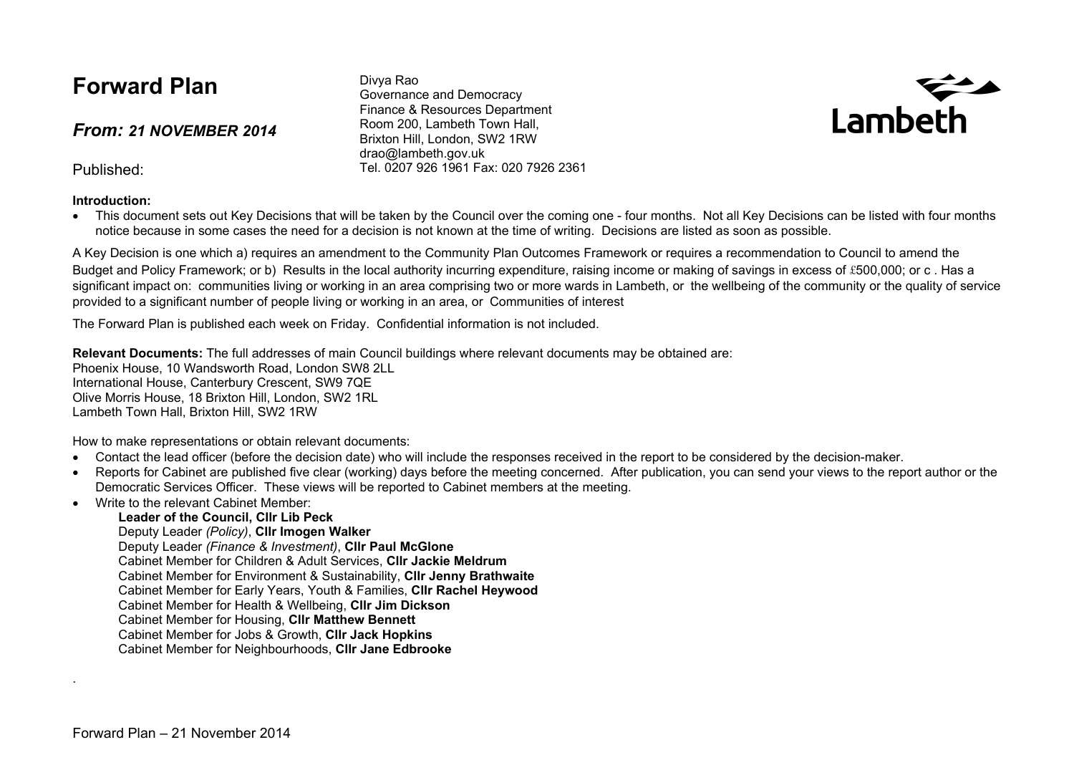## **Forward Plan**

*From: 21 NOVEMBER 2014*

Published:

#### **Introduction:**

Divya Rao Governance and Democracy Finance & Resources Department Room 200, Lambeth Town Hall, Brixton Hill, London, SW2 1RW drao@lambeth.gov.uk Tel. 0207 926 1961 Fax: 020 7926 2361



• This document sets out Key Decisions that will be taken by the Council over the coming one - four months. Not all Key Decisions can be listed with four months notice because in some cases the need for a decision is not known at the time of writing. Decisions are listed as soon as possible.

A Key Decision is one which a) requires an amendment to the Community Plan Outcomes Framework or requires a recommendation to Council to amend the Budget and Policy Framework; or b) Results in the local authority incurring expenditure, raising income or making of savings in excess of £500,000; or c, Has a significant impact on: communities living or working in an area comprising two or more wards in Lambeth, or the wellbeing of the community or the quality of service provided to a significant number of people living or working in an area, or Communities of interest

The Forward Plan is published each week on Friday. Confidential information is not included.

**Relevant Documents:** The full addresses of main Council buildings where relevant documents may be obtained are: Phoenix House, 10 Wandsworth Road, London SW8 2LL International House, Canterbury Crescent, SW9 7QE Olive Morris House, 18 Brixton Hill, London, SW2 1RL Lambeth Town Hall, Brixton Hill, SW2 1RW

How to make representations or obtain relevant documents:

- Contact the lead officer (before the decision date) who will include the responses received in the report to be considered by the decision-maker.
- Reports for Cabinet are published five clear (working) days before the meeting concerned. After publication, you can send your views to the report author or the Democratic Services Officer. These views will be reported to Cabinet members at the meeting.
- Write to the relevant Cabinet Member:

#### **Leader of the Council, Cllr Lib Peck**

Deputy Leader *(Policy)*, **Cllr Imogen Walker**

Deputy Leader *(Finance & Investment)*, **Cllr Paul McGlone**

Cabinet Member for Children & Adult Services, **Cllr Jackie Meldrum**

Cabinet Member for Environment & Sustainability, **Cllr Jenny Brathwaite**

Cabinet Member for Early Years, Youth & Families, **Cllr Rachel Heywood**

Cabinet Member for Health & Wellbeing, **Cllr Jim Dickson**

- Cabinet Member for Housing, **Cllr Matthew Bennett**
- Cabinet Member for Jobs & Growth, **Cllr Jack Hopkins**
- Cabinet Member for Neighbourhoods, **Cllr Jane Edbrooke**

.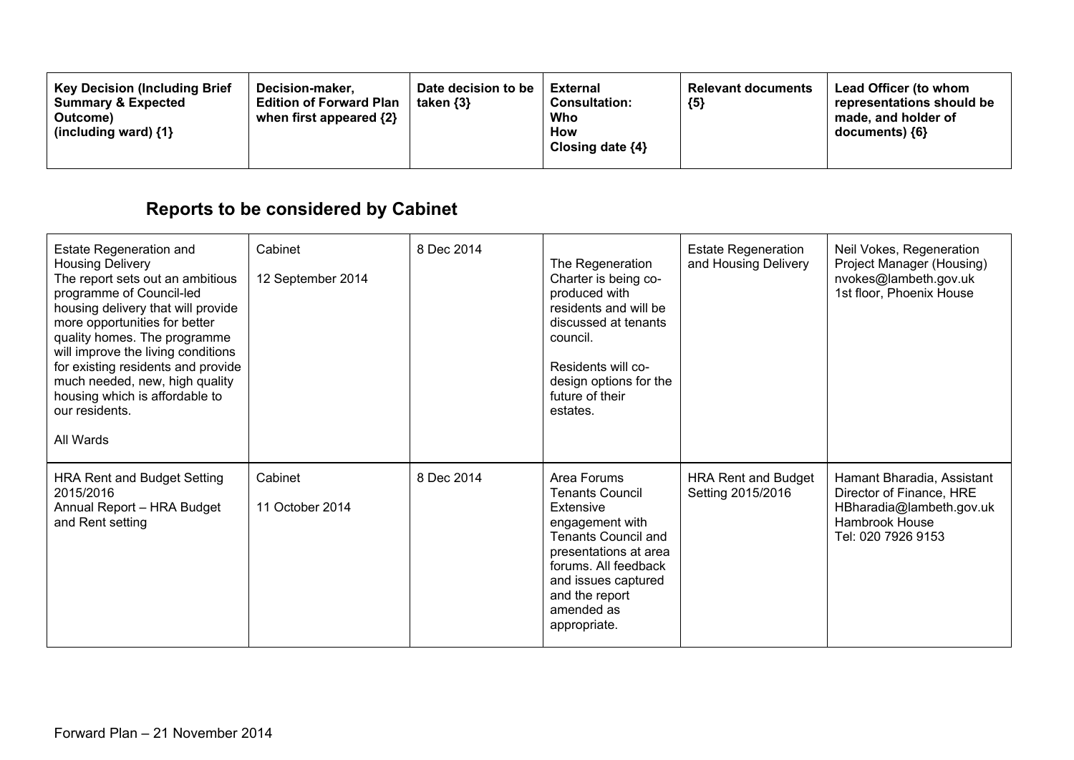| <b>Key Decision (Including Brief</b><br><b>Summary &amp; Expected</b><br>Outcome)<br>(including ward) $\{1\}$ | Decision-maker.<br><b>Edition of Forward Plan</b><br>when first appeared $\{2\}$ | Date decision to be<br>taken $\{3\}$ | <b>External</b><br><b>Consultation:</b><br>Who<br>How<br>Closing date $\{4\}$ | <b>Relevant documents</b><br>${5}$ | <b>Lead Officer (to whom</b><br>representations should be<br>made, and holder of<br>$documents)$ {6} |
|---------------------------------------------------------------------------------------------------------------|----------------------------------------------------------------------------------|--------------------------------------|-------------------------------------------------------------------------------|------------------------------------|------------------------------------------------------------------------------------------------------|
|---------------------------------------------------------------------------------------------------------------|----------------------------------------------------------------------------------|--------------------------------------|-------------------------------------------------------------------------------|------------------------------------|------------------------------------------------------------------------------------------------------|

# **Reports to be considered by Cabinet**

| <b>Estate Regeneration and</b><br><b>Housing Delivery</b><br>The report sets out an ambitious<br>programme of Council-led<br>housing delivery that will provide<br>more opportunities for better<br>quality homes. The programme<br>will improve the living conditions<br>for existing residents and provide<br>much needed, new, high quality<br>housing which is affordable to<br>our residents.<br>All Wards | Cabinet<br>12 September 2014 | 8 Dec 2014 | The Regeneration<br>Charter is being co-<br>produced with<br>residents and will be<br>discussed at tenants<br>council.<br>Residents will co-<br>design options for the<br>future of their<br>estates.                       | <b>Estate Regeneration</b><br>and Housing Delivery | Neil Vokes, Regeneration<br>Project Manager (Housing)<br>nvokes@lambeth.gov.uk<br>1st floor, Phoenix House                 |
|-----------------------------------------------------------------------------------------------------------------------------------------------------------------------------------------------------------------------------------------------------------------------------------------------------------------------------------------------------------------------------------------------------------------|------------------------------|------------|-----------------------------------------------------------------------------------------------------------------------------------------------------------------------------------------------------------------------------|----------------------------------------------------|----------------------------------------------------------------------------------------------------------------------------|
| <b>HRA Rent and Budget Setting</b><br>2015/2016<br>Annual Report - HRA Budget<br>and Rent setting                                                                                                                                                                                                                                                                                                               | Cabinet<br>11 October 2014   | 8 Dec 2014 | Area Forums<br><b>Tenants Council</b><br>Extensive<br>engagement with<br><b>Tenants Council and</b><br>presentations at area<br>forums. All feedback<br>and issues captured<br>and the report<br>amended as<br>appropriate. | <b>HRA Rent and Budget</b><br>Setting 2015/2016    | Hamant Bharadia, Assistant<br>Director of Finance, HRE<br>HBharadia@lambeth.gov.uk<br>Hambrook House<br>Tel: 020 7926 9153 |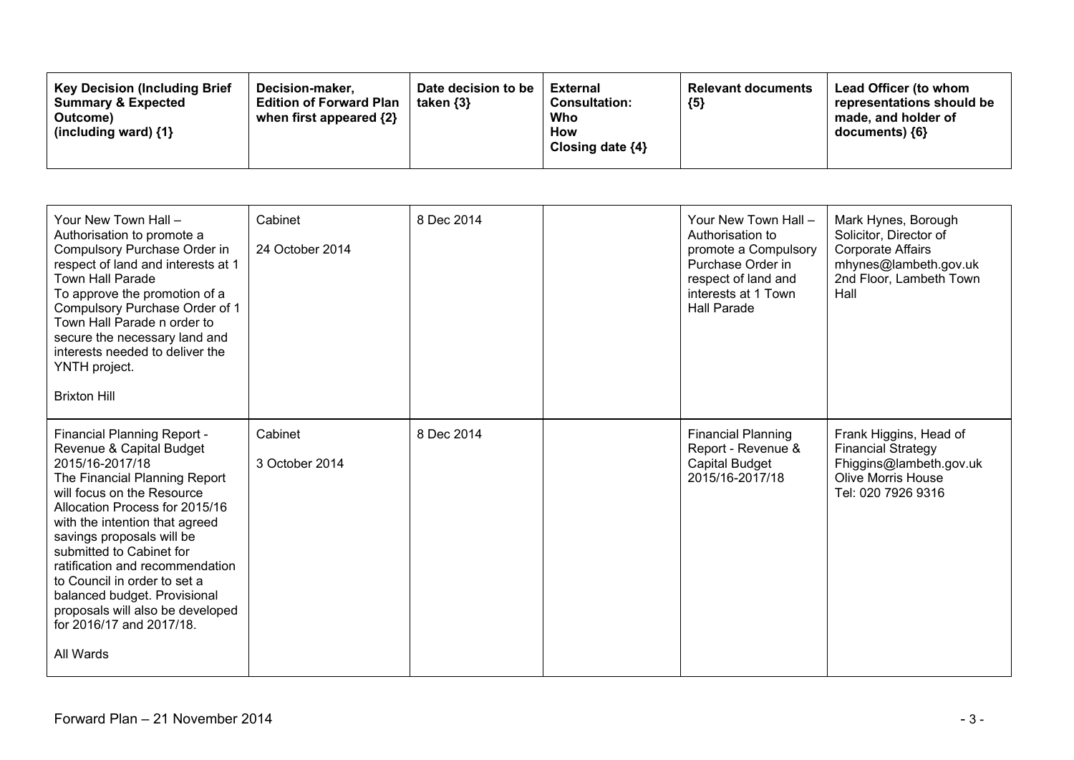| <b>Key Decision (Including Brief</b><br><b>Summary &amp; Expected</b><br>Outcome)<br>(including ward) $\{1\}$ | Decision-maker.<br><b>Edition of Forward Plan</b><br>when first appeared {2} | Date decision to be<br>taken $\{3\}$ | <b>External</b><br><b>Consultation:</b><br>Who<br>How<br>Closing date $\{4\}$ | <b>Relevant documents</b><br>${5}$ | Lead Officer (to whom<br>representations should be<br>made, and holder of<br>documents) {6} |
|---------------------------------------------------------------------------------------------------------------|------------------------------------------------------------------------------|--------------------------------------|-------------------------------------------------------------------------------|------------------------------------|---------------------------------------------------------------------------------------------|
|---------------------------------------------------------------------------------------------------------------|------------------------------------------------------------------------------|--------------------------------------|-------------------------------------------------------------------------------|------------------------------------|---------------------------------------------------------------------------------------------|

| Your New Town Hall -<br>Authorisation to promote a<br>Compulsory Purchase Order in<br>respect of land and interests at 1<br><b>Town Hall Parade</b><br>To approve the promotion of a<br>Compulsory Purchase Order of 1<br>Town Hall Parade n order to<br>secure the necessary land and<br>interests needed to deliver the<br>YNTH project.<br><b>Brixton Hill</b>                                                                                      | Cabinet<br>24 October 2014 | 8 Dec 2014 | Your New Town Hall -<br>Authorisation to<br>promote a Compulsory<br>Purchase Order in<br>respect of land and<br>interests at 1 Town<br><b>Hall Parade</b> | Mark Hynes, Borough<br>Solicitor, Director of<br><b>Corporate Affairs</b><br>mhynes@lambeth.gov.uk<br>2nd Floor, Lambeth Town<br>Hall |
|--------------------------------------------------------------------------------------------------------------------------------------------------------------------------------------------------------------------------------------------------------------------------------------------------------------------------------------------------------------------------------------------------------------------------------------------------------|----------------------------|------------|-----------------------------------------------------------------------------------------------------------------------------------------------------------|---------------------------------------------------------------------------------------------------------------------------------------|
| Financial Planning Report -<br>Revenue & Capital Budget<br>2015/16-2017/18<br>The Financial Planning Report<br>will focus on the Resource<br>Allocation Process for 2015/16<br>with the intention that agreed<br>savings proposals will be<br>submitted to Cabinet for<br>ratification and recommendation<br>to Council in order to set a<br>balanced budget. Provisional<br>proposals will also be developed<br>for 2016/17 and 2017/18.<br>All Wards | Cabinet<br>3 October 2014  | 8 Dec 2014 | <b>Financial Planning</b><br>Report - Revenue &<br>Capital Budget<br>2015/16-2017/18                                                                      | Frank Higgins, Head of<br><b>Financial Strategy</b><br>Fhiggins@lambeth.gov.uk<br><b>Olive Morris House</b><br>Tel: 020 7926 9316     |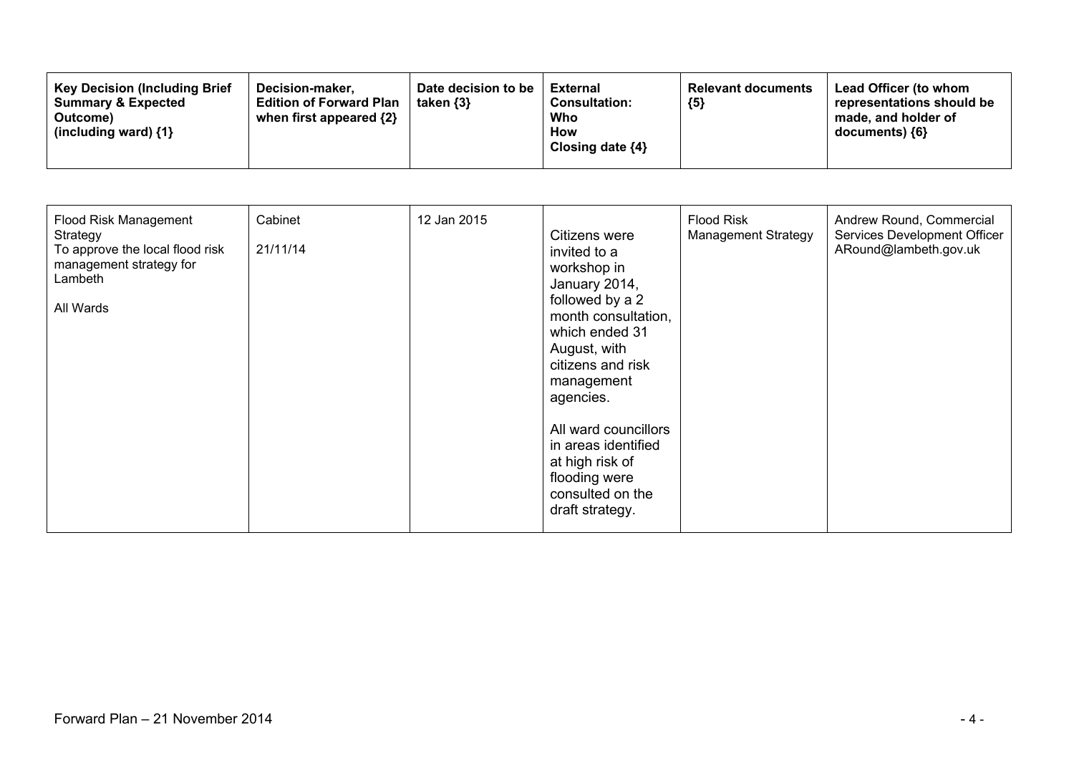| <b>Key Decision (Including Brief</b><br><b>Summary &amp; Expected</b><br>Outcome)<br>(including ward) $\{1\}$ | Date decision to be<br>Decision-maker.<br>taken $\{3\}$<br><b>Edition of Forward Plan</b><br>when first appeared {2} | External<br><b>Consultation:</b><br>Who<br><b>How</b><br>Closing date $\{4\}$ | <b>Relevant documents</b><br>${5}$ | <b>Lead Officer (to whom</b><br>representations should be<br>made, and holder of<br>$documents)$ {6} |
|---------------------------------------------------------------------------------------------------------------|----------------------------------------------------------------------------------------------------------------------|-------------------------------------------------------------------------------|------------------------------------|------------------------------------------------------------------------------------------------------|
|---------------------------------------------------------------------------------------------------------------|----------------------------------------------------------------------------------------------------------------------|-------------------------------------------------------------------------------|------------------------------------|------------------------------------------------------------------------------------------------------|

| Flood Risk Management<br>Strategy<br>To approve the local flood risk<br>management strategy for<br>Lambeth<br>All Wards | Cabinet<br>21/11/14 | 12 Jan 2015 | Citizens were<br>invited to a<br>workshop in<br>January 2014,<br>followed by a 2<br>month consultation,<br>which ended 31<br>August, with<br>citizens and risk<br>management<br>agencies.<br>All ward councillors<br>in areas identified<br>at high risk of<br>flooding were<br>consulted on the<br>draft strategy. | <b>Flood Risk</b><br><b>Management Strategy</b> | Andrew Round, Commercial<br>Services Development Officer<br>ARound@lambeth.gov.uk |
|-------------------------------------------------------------------------------------------------------------------------|---------------------|-------------|---------------------------------------------------------------------------------------------------------------------------------------------------------------------------------------------------------------------------------------------------------------------------------------------------------------------|-------------------------------------------------|-----------------------------------------------------------------------------------|
|-------------------------------------------------------------------------------------------------------------------------|---------------------|-------------|---------------------------------------------------------------------------------------------------------------------------------------------------------------------------------------------------------------------------------------------------------------------------------------------------------------------|-------------------------------------------------|-----------------------------------------------------------------------------------|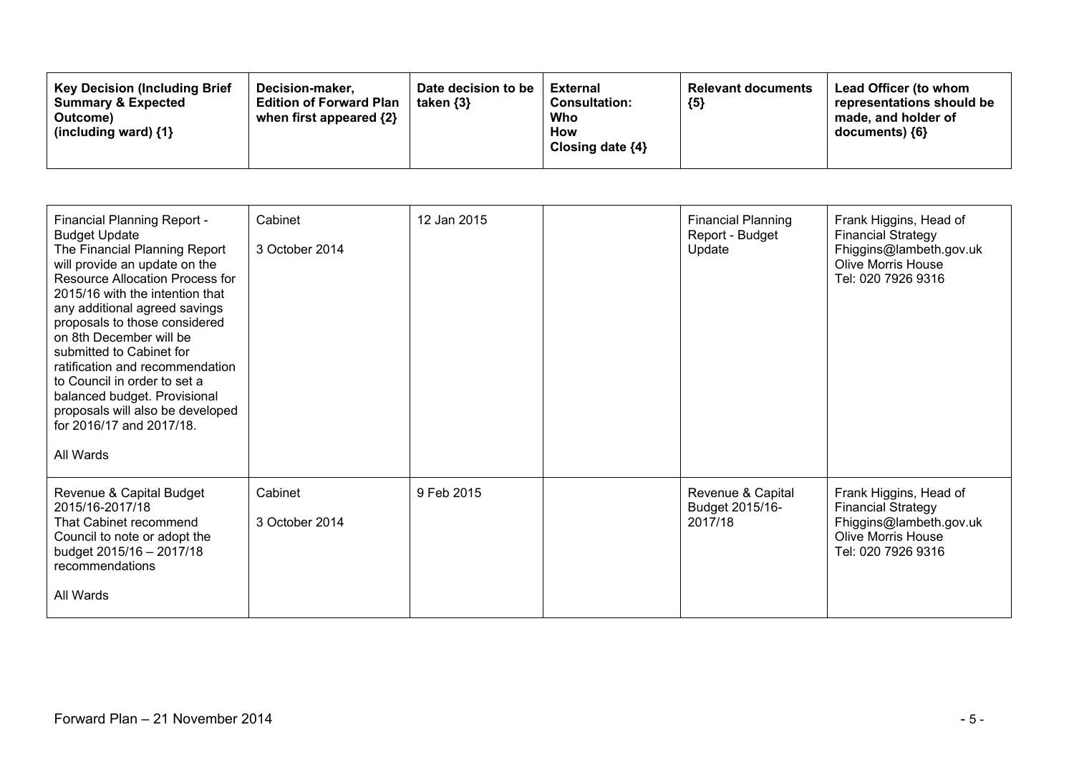| <b>Key Decision (Including Brief</b><br>Decision-maker,<br><b>Summary &amp; Expected</b><br><b>Edition of Forward Plan</b><br>when first appeared {2}<br>Outcome)<br>(including ward) $\{1\}$ | Date decision to be<br>taken $\{3\}$ | External<br><b>Consultation:</b><br>Who<br>How<br>Closing date $\{4\}$ | <b>Relevant documents</b><br>${5}$ | Lead Officer (to whom<br>representations should be<br>made, and holder of<br>documents) {6} |
|-----------------------------------------------------------------------------------------------------------------------------------------------------------------------------------------------|--------------------------------------|------------------------------------------------------------------------|------------------------------------|---------------------------------------------------------------------------------------------|
|-----------------------------------------------------------------------------------------------------------------------------------------------------------------------------------------------|--------------------------------------|------------------------------------------------------------------------|------------------------------------|---------------------------------------------------------------------------------------------|

| <b>Financial Planning Report -</b><br><b>Budget Update</b><br>The Financial Planning Report<br>will provide an update on the<br>Resource Allocation Process for<br>2015/16 with the intention that<br>any additional agreed savings<br>proposals to those considered<br>on 8th December will be<br>submitted to Cabinet for<br>ratification and recommendation<br>to Council in order to set a<br>balanced budget. Provisional<br>proposals will also be developed<br>for 2016/17 and 2017/18.<br>All Wards | Cabinet<br>3 October 2014 | 12 Jan 2015 | <b>Financial Planning</b><br>Report - Budget<br>Update | Frank Higgins, Head of<br><b>Financial Strategy</b><br>Fhiggins@lambeth.gov.uk<br><b>Olive Morris House</b><br>Tel: 020 7926 9316 |
|-------------------------------------------------------------------------------------------------------------------------------------------------------------------------------------------------------------------------------------------------------------------------------------------------------------------------------------------------------------------------------------------------------------------------------------------------------------------------------------------------------------|---------------------------|-------------|--------------------------------------------------------|-----------------------------------------------------------------------------------------------------------------------------------|
| Revenue & Capital Budget<br>2015/16-2017/18<br>That Cabinet recommend<br>Council to note or adopt the<br>budget 2015/16 - 2017/18<br>recommendations<br>All Wards                                                                                                                                                                                                                                                                                                                                           | Cabinet<br>3 October 2014 | 9 Feb 2015  | Revenue & Capital<br>Budget 2015/16-<br>2017/18        | Frank Higgins, Head of<br><b>Financial Strategy</b><br>Fhiggins@lambeth.gov.uk<br><b>Olive Morris House</b><br>Tel: 020 7926 9316 |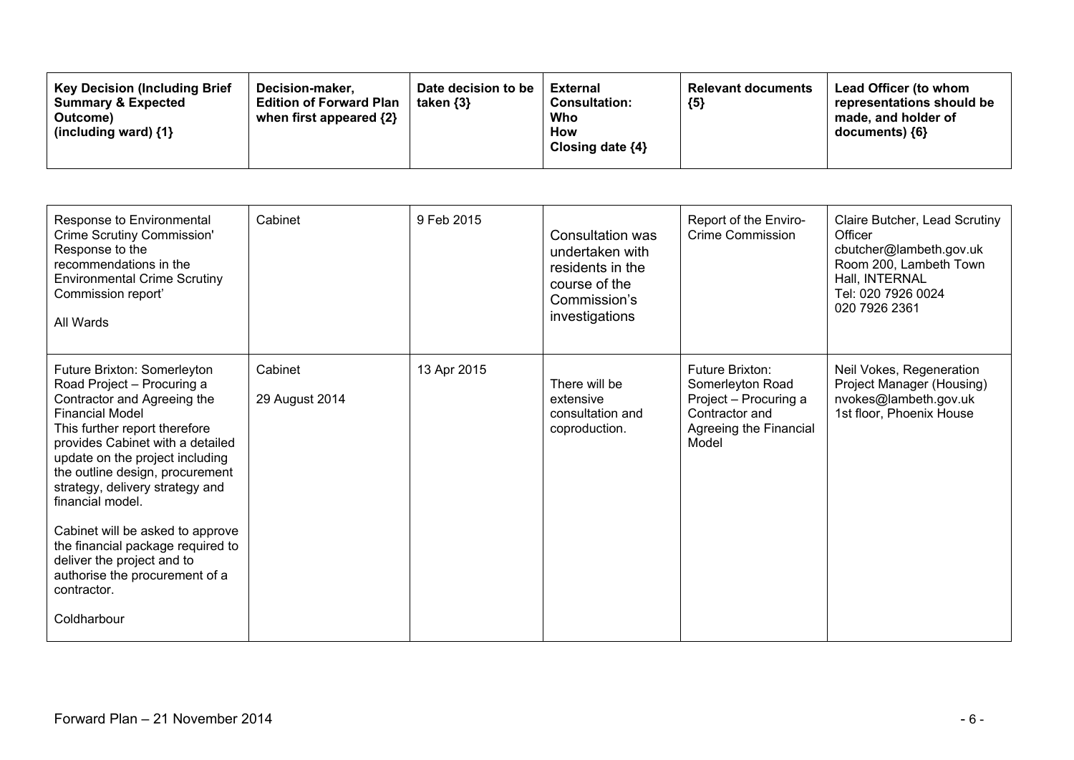| <b>Key Decision (Including Brief</b><br>Decision-maker.<br><b>Summary &amp; Expected</b><br><b>Edition of Forward Plan</b><br>when first appeared $\{2\}$<br>Outcome)<br>(including ward) $\{1\}$ | Date decision to be<br><b>External</b><br><b>Consultation:</b><br>taken {3}<br>Who<br><b>How</b><br>Closing date $\{4\}$ | <b>Relevant documents</b><br>${5}$ | Lead Officer (to whom<br>representations should be<br>made, and holder of<br>documents) {6} |
|---------------------------------------------------------------------------------------------------------------------------------------------------------------------------------------------------|--------------------------------------------------------------------------------------------------------------------------|------------------------------------|---------------------------------------------------------------------------------------------|
|---------------------------------------------------------------------------------------------------------------------------------------------------------------------------------------------------|--------------------------------------------------------------------------------------------------------------------------|------------------------------------|---------------------------------------------------------------------------------------------|

| Response to Environmental<br>Crime Scrutiny Commission'<br>Response to the<br>recommendations in the<br><b>Environmental Crime Scrutiny</b><br>Commission report'<br>All Wards                                                                                                                                                                                                                                                                                                              | Cabinet                   | 9 Feb 2015  | <b>Consultation was</b><br>undertaken with<br>residents in the<br>course of the<br>Commission's<br>investigations | Report of the Enviro-<br><b>Crime Commission</b>                                                                  | Claire Butcher, Lead Scrutiny<br>Officer<br>cbutcher@lambeth.gov.uk<br>Room 200, Lambeth Town<br>Hall, INTERNAL<br>Tel: 020 7926 0024<br>020 7926 2361 |
|---------------------------------------------------------------------------------------------------------------------------------------------------------------------------------------------------------------------------------------------------------------------------------------------------------------------------------------------------------------------------------------------------------------------------------------------------------------------------------------------|---------------------------|-------------|-------------------------------------------------------------------------------------------------------------------|-------------------------------------------------------------------------------------------------------------------|--------------------------------------------------------------------------------------------------------------------------------------------------------|
| Future Brixton: Somerleyton<br>Road Project - Procuring a<br>Contractor and Agreeing the<br><b>Financial Model</b><br>This further report therefore<br>provides Cabinet with a detailed<br>update on the project including<br>the outline design, procurement<br>strategy, delivery strategy and<br>financial model.<br>Cabinet will be asked to approve<br>the financial package required to<br>deliver the project and to<br>authorise the procurement of a<br>contractor.<br>Coldharbour | Cabinet<br>29 August 2014 | 13 Apr 2015 | There will be<br>extensive<br>consultation and<br>coproduction.                                                   | Future Brixton:<br>Somerleyton Road<br>Project - Procuring a<br>Contractor and<br>Agreeing the Financial<br>Model | Neil Vokes, Regeneration<br>Project Manager (Housing)<br>nvokes@lambeth.gov.uk<br>1st floor, Phoenix House                                             |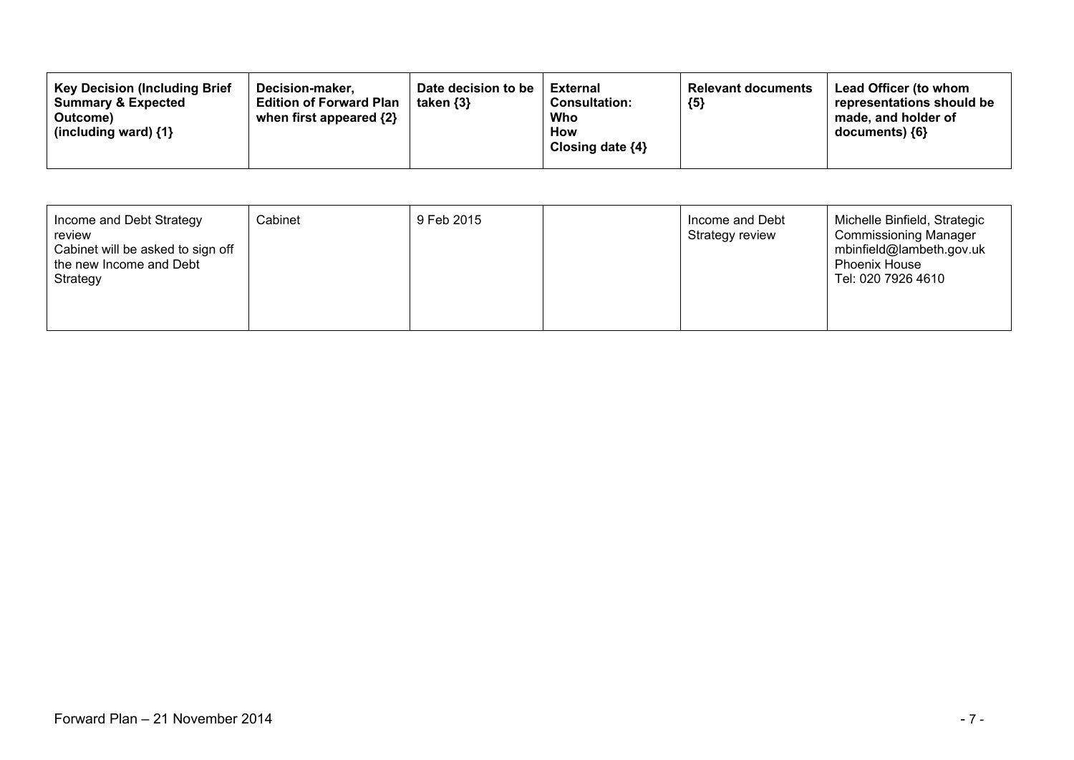| <b>Key Decision (Including Brief</b><br>Date decision to be<br>Decision-maker.<br><b>Summary &amp; Expected</b><br><b>Edition of Forward Plan</b><br>taken $\{3\}$<br>when first appeared $\{2\}$<br>Outcome)<br>(including ward) $\{1\}$ | External<br><b>Consultation:</b><br>Who<br><b>How</b><br>Closing date $\{4\}$ | <b>Relevant documents</b><br>${5}$ | <b>Lead Officer (to whom</b><br>representations should be<br>made, and holder of<br>documents) {6} |
|-------------------------------------------------------------------------------------------------------------------------------------------------------------------------------------------------------------------------------------------|-------------------------------------------------------------------------------|------------------------------------|----------------------------------------------------------------------------------------------------|
|-------------------------------------------------------------------------------------------------------------------------------------------------------------------------------------------------------------------------------------------|-------------------------------------------------------------------------------|------------------------------------|----------------------------------------------------------------------------------------------------|

| Income and Debt Strategy<br>review<br>Cabinet will be asked to sign off<br>the new Income and Debt<br>Strategy | Cabinet | 9 Feb 2015 |  | Income and Debt<br>Strategy review | Michelle Binfield, Strategic<br><b>Commissioning Manager</b><br>mbinfield@lambeth.gov.uk<br><b>Phoenix House</b><br>Tel: 020 7926 4610 |
|----------------------------------------------------------------------------------------------------------------|---------|------------|--|------------------------------------|----------------------------------------------------------------------------------------------------------------------------------------|
|----------------------------------------------------------------------------------------------------------------|---------|------------|--|------------------------------------|----------------------------------------------------------------------------------------------------------------------------------------|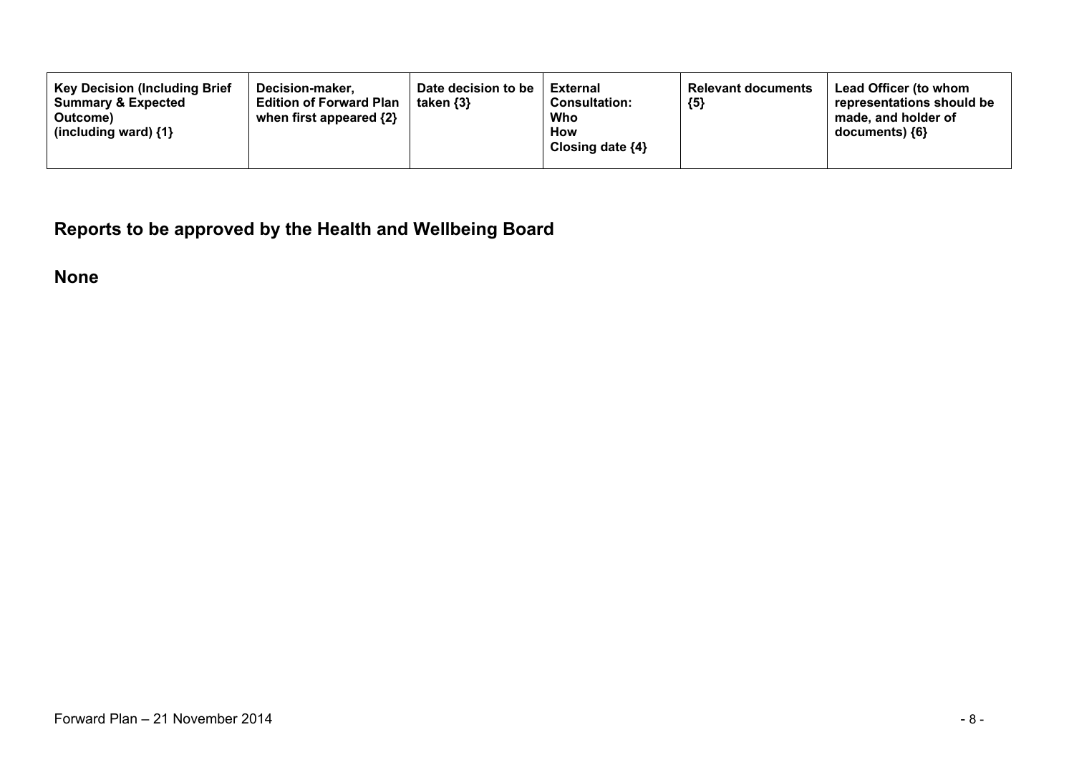**Reports to be approved by the Health and Wellbeing Board**

**None**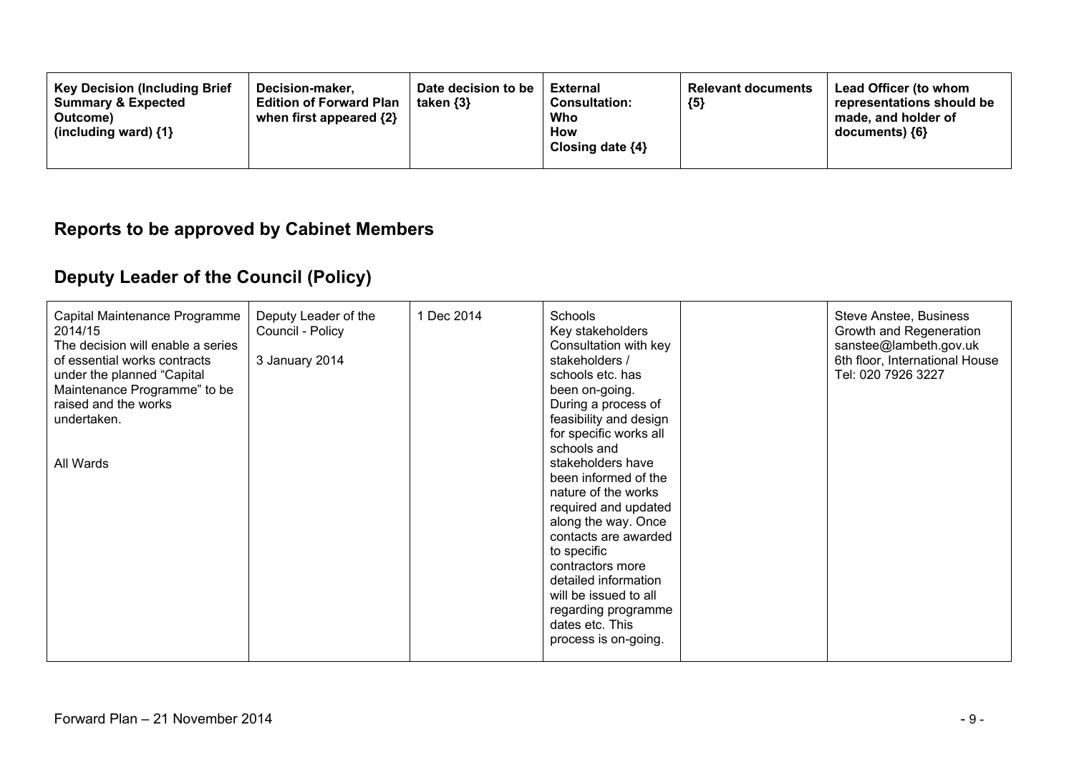| <b>Key Decision (Including Brief</b><br>Decision-maker.<br><b>Summary &amp; Expected</b><br><b>Edition of Forward Plan</b><br>when first appeared {2}<br>Outcome)<br>(including ward) $\{1\}$ | Date decision to be<br>taken $\{3\}$ | External<br><b>Consultation:</b><br>Who<br>How<br>Closing date ${4}$ | <b>Relevant documents</b><br>${5}$ | Lead Officer (to whom<br>representations should be<br>made, and holder of<br>documents) ${6}$ |
|-----------------------------------------------------------------------------------------------------------------------------------------------------------------------------------------------|--------------------------------------|----------------------------------------------------------------------|------------------------------------|-----------------------------------------------------------------------------------------------|
|-----------------------------------------------------------------------------------------------------------------------------------------------------------------------------------------------|--------------------------------------|----------------------------------------------------------------------|------------------------------------|-----------------------------------------------------------------------------------------------|

### **Reports to be approved by Cabinet Members**

# **Deputy Leader of the Council (Policy)**

| Capital Maintenance Programme<br>2014/15<br>The decision will enable a series<br>of essential works contracts<br>under the planned "Capital<br>Maintenance Programme" to be<br>raised and the works<br>undertaken.<br>All Wards | Deputy Leader of the<br>Council - Policy<br>3 January 2014 | 1 Dec 2014 | Schools<br>Key stakeholders<br>Consultation with key<br>stakeholders /<br>schools etc. has<br>been on-going.<br>During a process of<br>feasibility and design<br>for specific works all<br>schools and<br>stakeholders have<br>been informed of the<br>nature of the works<br>required and updated<br>along the way. Once<br>contacts are awarded<br>to specific<br>contractors more<br>detailed information<br>will be issued to all<br>regarding programme<br>dates etc. This<br>process is on-going. |  | Steve Anstee, Business<br>Growth and Regeneration<br>sanstee@lambeth.gov.uk<br>6th floor, International House<br>Tel: 020 7926 3227 |
|---------------------------------------------------------------------------------------------------------------------------------------------------------------------------------------------------------------------------------|------------------------------------------------------------|------------|---------------------------------------------------------------------------------------------------------------------------------------------------------------------------------------------------------------------------------------------------------------------------------------------------------------------------------------------------------------------------------------------------------------------------------------------------------------------------------------------------------|--|-------------------------------------------------------------------------------------------------------------------------------------|
|---------------------------------------------------------------------------------------------------------------------------------------------------------------------------------------------------------------------------------|------------------------------------------------------------|------------|---------------------------------------------------------------------------------------------------------------------------------------------------------------------------------------------------------------------------------------------------------------------------------------------------------------------------------------------------------------------------------------------------------------------------------------------------------------------------------------------------------|--|-------------------------------------------------------------------------------------------------------------------------------------|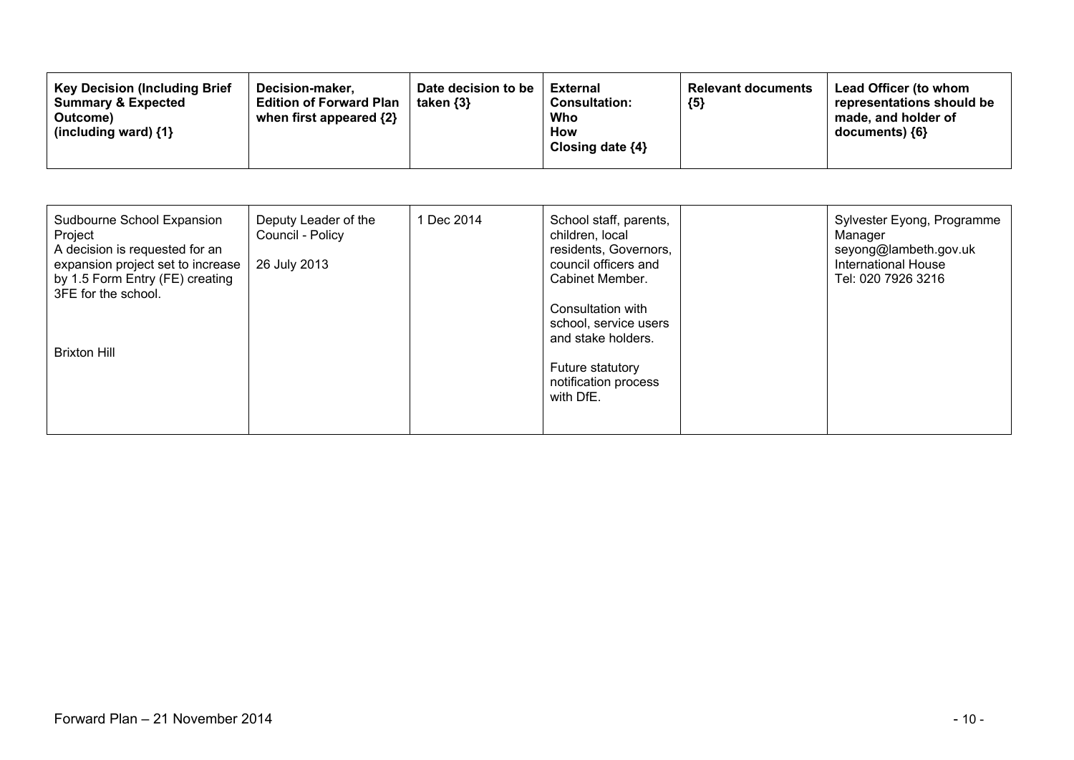| Sudbourne School Expansion<br>Project<br>A decision is requested for an<br>expansion project set to increase<br>by 1.5 Form Entry (FE) creating<br>3FE for the school. | Deputy Leader of the<br>Council - Policy<br>26 July 2013 | 1 Dec 2014 | School staff, parents,<br>children, local<br>residents, Governors,<br>council officers and<br>Cabinet Member.<br>Consultation with<br>school, service users | Sylvester Eyong, Programme<br>Manager<br>seyong@lambeth.gov.uk<br><b>International House</b><br>Tel: 020 7926 3216 |
|------------------------------------------------------------------------------------------------------------------------------------------------------------------------|----------------------------------------------------------|------------|-------------------------------------------------------------------------------------------------------------------------------------------------------------|--------------------------------------------------------------------------------------------------------------------|
| <b>Brixton Hill</b>                                                                                                                                                    |                                                          |            | and stake holders.<br><b>Future statutory</b><br>notification process<br>with DfE.                                                                          |                                                                                                                    |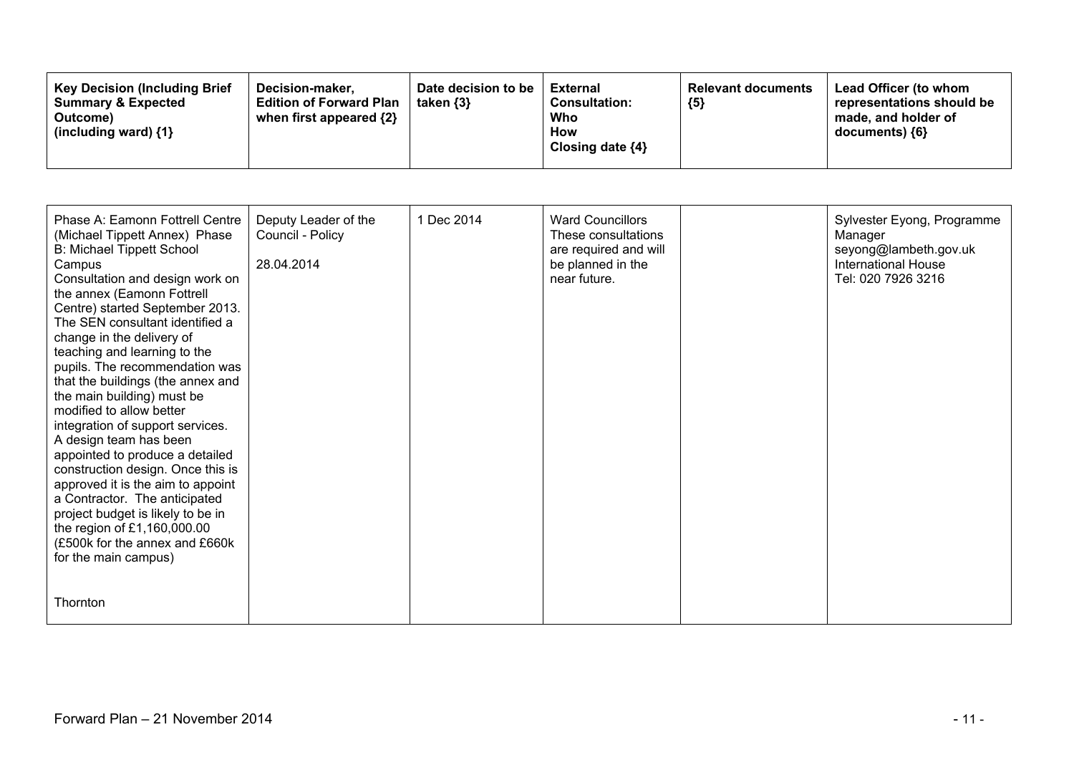| <b>Key Decision (Including Brief)</b><br>Decision-maker.<br><b>Summary &amp; Expected</b><br><b>Edition of Forward Plan</b><br>when first appeared $\{2\}$<br>Outcome)<br>(including ward) $\{1\}$ | Date decision to be<br>taken $\{3\}$ | External<br><b>Consultation:</b><br>Who<br>How<br>Closing date ${4}$ | <b>Relevant documents</b><br>${5}$ | Lead Officer (to whom<br>representations should be<br>made, and holder of<br>documents) ${6}$ |
|----------------------------------------------------------------------------------------------------------------------------------------------------------------------------------------------------|--------------------------------------|----------------------------------------------------------------------|------------------------------------|-----------------------------------------------------------------------------------------------|
|----------------------------------------------------------------------------------------------------------------------------------------------------------------------------------------------------|--------------------------------------|----------------------------------------------------------------------|------------------------------------|-----------------------------------------------------------------------------------------------|

| Phase A: Eamonn Fottrell Centre<br>(Michael Tippett Annex) Phase<br><b>B: Michael Tippett School</b><br>Campus<br>Consultation and design work on<br>the annex (Eamonn Fottrell<br>Centre) started September 2013.<br>The SEN consultant identified a<br>change in the delivery of<br>teaching and learning to the<br>pupils. The recommendation was<br>that the buildings (the annex and<br>the main building) must be<br>modified to allow better<br>integration of support services.<br>A design team has been<br>appointed to produce a detailed<br>construction design. Once this is<br>approved it is the aim to appoint<br>a Contractor. The anticipated<br>project budget is likely to be in<br>the region of £1,160,000.00<br>(£500k for the annex and £660k<br>for the main campus) | Deputy Leader of the<br>Council - Policy<br>28.04.2014 | 1 Dec 2014 | <b>Ward Councillors</b><br>These consultations<br>are required and will<br>be planned in the<br>near future. | Sylvester Eyong, Programme<br>Manager<br>seyong@lambeth.gov.uk<br><b>International House</b><br>Tel: 020 7926 3216 |
|-----------------------------------------------------------------------------------------------------------------------------------------------------------------------------------------------------------------------------------------------------------------------------------------------------------------------------------------------------------------------------------------------------------------------------------------------------------------------------------------------------------------------------------------------------------------------------------------------------------------------------------------------------------------------------------------------------------------------------------------------------------------------------------------------|--------------------------------------------------------|------------|--------------------------------------------------------------------------------------------------------------|--------------------------------------------------------------------------------------------------------------------|
| Thornton                                                                                                                                                                                                                                                                                                                                                                                                                                                                                                                                                                                                                                                                                                                                                                                      |                                                        |            |                                                                                                              |                                                                                                                    |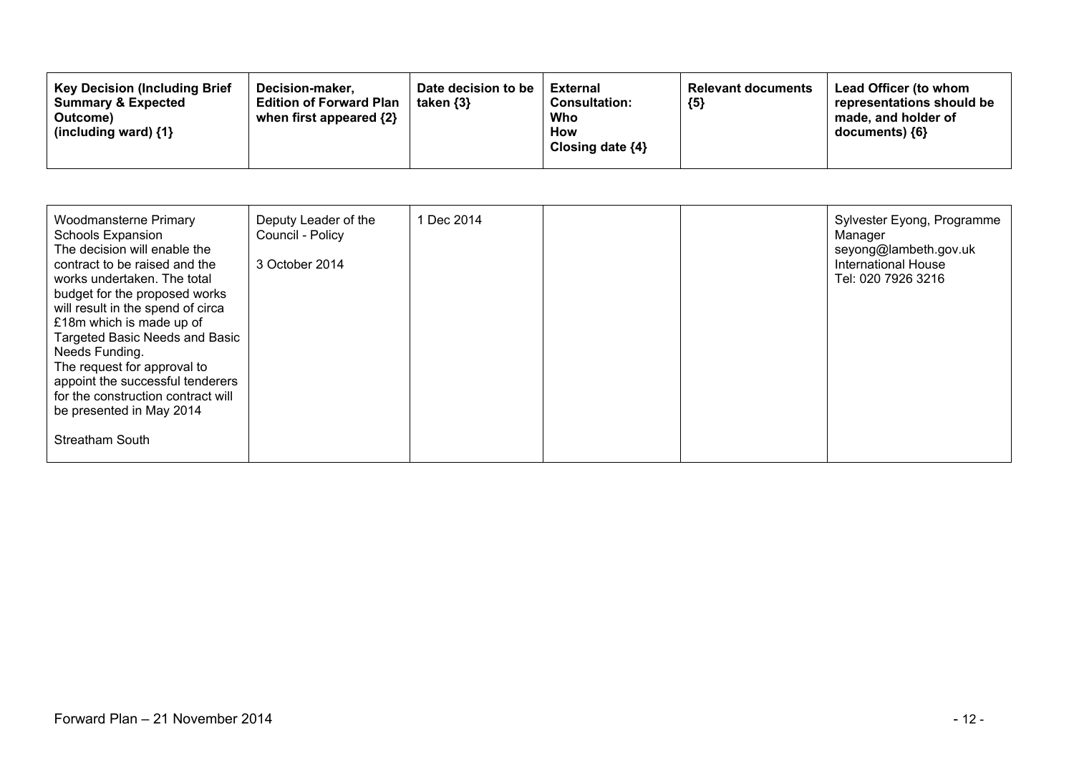| <b>Key Decision (Including Brief</b><br>Decision-maker.<br><b>Edition of Forward Plan</b><br><b>Summary &amp; Expected</b><br>when first appeared {2}<br>Outcome)<br>(including ward) $\{1\}$ | Date decision to be<br>taken $\{3\}$ | <b>External</b><br><b>Consultation:</b><br>Who<br>How<br>Closing date $\{4\}$ | <b>Relevant documents</b><br>${5}$ | Lead Officer (to whom<br>representations should be<br>made, and holder of<br>$documents)$ {6} |
|-----------------------------------------------------------------------------------------------------------------------------------------------------------------------------------------------|--------------------------------------|-------------------------------------------------------------------------------|------------------------------------|-----------------------------------------------------------------------------------------------|
|-----------------------------------------------------------------------------------------------------------------------------------------------------------------------------------------------|--------------------------------------|-------------------------------------------------------------------------------|------------------------------------|-----------------------------------------------------------------------------------------------|

| Woodmansterne Primary<br>Schools Expansion<br>The decision will enable the<br>contract to be raised and the<br>works undertaken. The total<br>budget for the proposed works<br>will result in the spend of circa<br>£18m which is made up of<br>Targeted Basic Needs and Basic<br>Needs Funding.<br>The request for approval to<br>appoint the successful tenderers<br>for the construction contract will<br>be presented in May 2014<br><b>Streatham South</b> | Deputy Leader of the<br>Council - Policy<br>3 October 2014 | 1 Dec 2014 |  | Sylvester Eyong, Programme<br>Manager<br>seyong@lambeth.gov.uk<br><b>International House</b><br>Tel: 020 7926 3216 |
|-----------------------------------------------------------------------------------------------------------------------------------------------------------------------------------------------------------------------------------------------------------------------------------------------------------------------------------------------------------------------------------------------------------------------------------------------------------------|------------------------------------------------------------|------------|--|--------------------------------------------------------------------------------------------------------------------|
|                                                                                                                                                                                                                                                                                                                                                                                                                                                                 |                                                            |            |  |                                                                                                                    |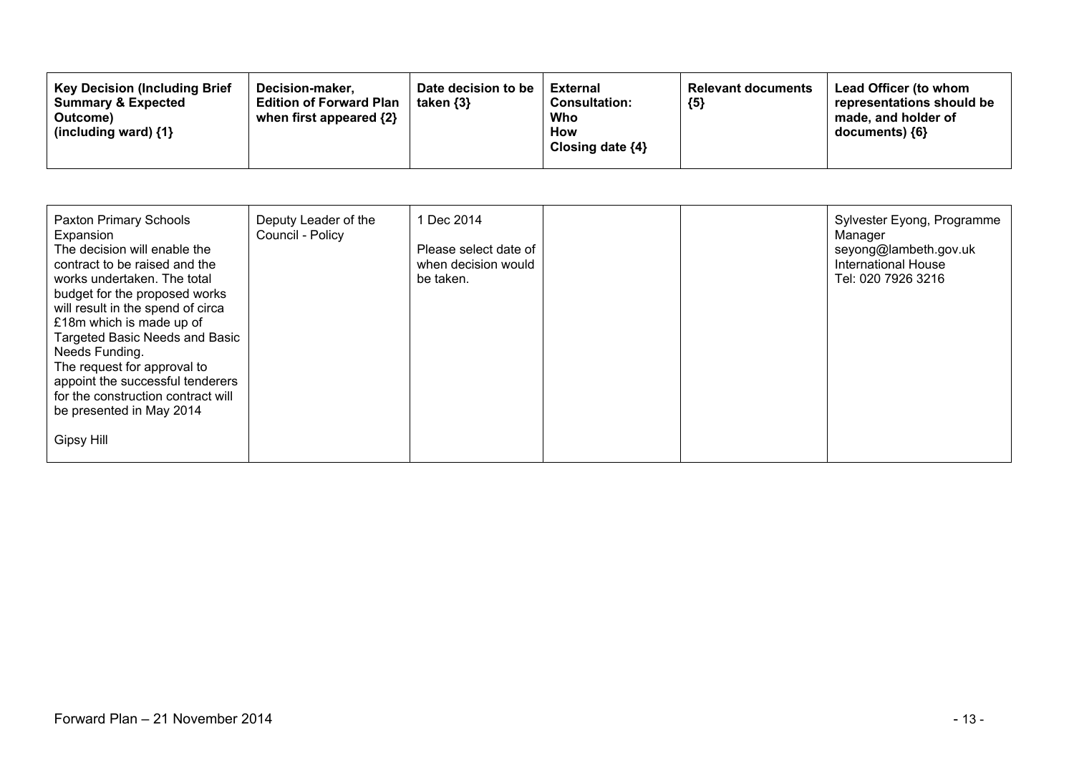| <b>Key Decision (Including Brief</b><br>Date decision to be<br>Decision-maker.<br><b>Edition of Forward Plan</b><br><b>Summary &amp; Expected</b><br>taken $\{3\}$<br>when first appeared {2}<br>Outcome)<br>(including ward) $\{1\}$ | <b>External</b><br>${5}$<br><b>Consultation:</b><br>Who<br><b>How</b><br>Closing date $\{4\}$ | Lead Officer (to whom<br><b>Relevant documents</b><br>representations should be<br>made, and holder of<br>$documents)$ {6} |
|---------------------------------------------------------------------------------------------------------------------------------------------------------------------------------------------------------------------------------------|-----------------------------------------------------------------------------------------------|----------------------------------------------------------------------------------------------------------------------------|
|---------------------------------------------------------------------------------------------------------------------------------------------------------------------------------------------------------------------------------------|-----------------------------------------------------------------------------------------------|----------------------------------------------------------------------------------------------------------------------------|

| <b>Paxton Primary Schools</b><br>Expansion<br>The decision will enable the<br>contract to be raised and the<br>works undertaken. The total<br>budget for the proposed works<br>will result in the spend of circa<br>£18m which is made up of<br><b>Targeted Basic Needs and Basic</b><br>Needs Funding.<br>The request for approval to<br>appoint the successful tenderers<br>for the construction contract will<br>be presented in May 2014 | Deputy Leader of the<br>Council - Policy | 1 Dec 2014<br>Please select date of<br>when decision would<br>be taken. |  | Sylvester Eyong, Programme<br>Manager<br>seyong@lambeth.gov.uk<br><b>International House</b><br>Tel: 020 7926 3216 |
|----------------------------------------------------------------------------------------------------------------------------------------------------------------------------------------------------------------------------------------------------------------------------------------------------------------------------------------------------------------------------------------------------------------------------------------------|------------------------------------------|-------------------------------------------------------------------------|--|--------------------------------------------------------------------------------------------------------------------|
| Gipsy Hill                                                                                                                                                                                                                                                                                                                                                                                                                                   |                                          |                                                                         |  |                                                                                                                    |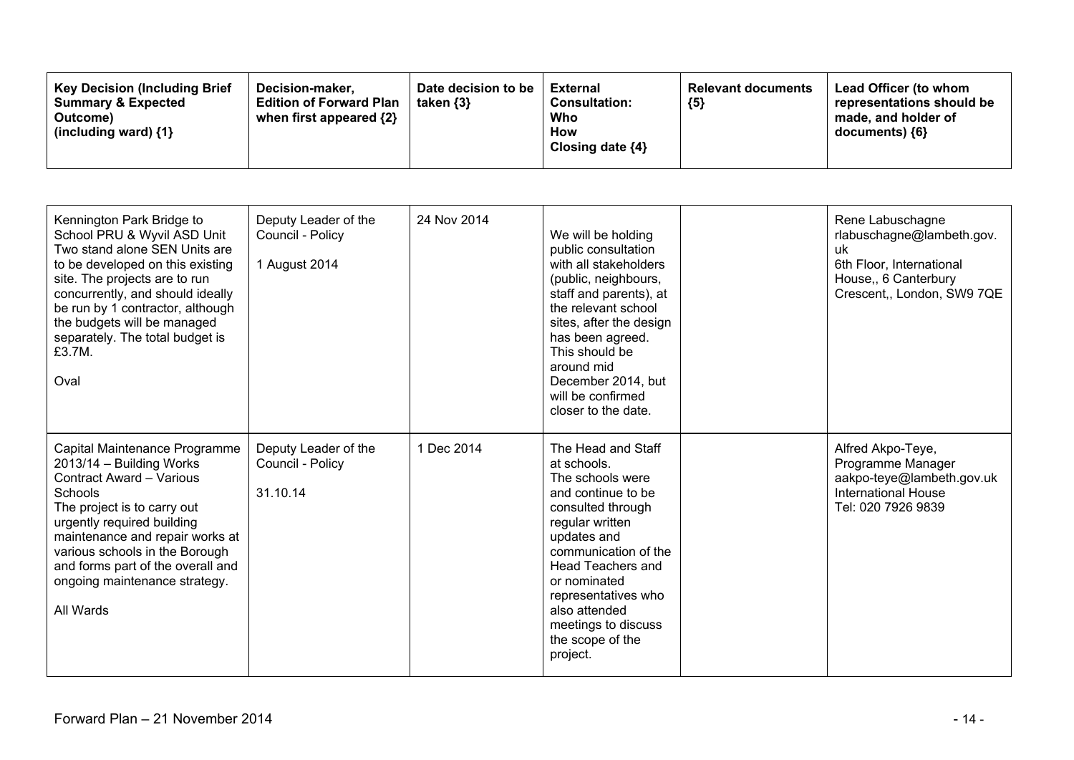| <b>Key Decision (Including Brief)</b><br>Date decision to be<br>Decision-maker,<br><b>Summary &amp; Expected</b><br><b>Edition of Forward Plan</b><br>taken $\{3\}$<br>when first appeared {2}<br>Outcome)<br>(including ward) $\{1\}$ | External<br><b>Consultation:</b><br>Who<br>How<br>Closing date $\{4\}$ | <b>Relevant documents</b><br>${5}$ | <b>Lead Officer (to whom</b><br>representations should be<br>made, and holder of<br>documents) ${6}$ |
|----------------------------------------------------------------------------------------------------------------------------------------------------------------------------------------------------------------------------------------|------------------------------------------------------------------------|------------------------------------|------------------------------------------------------------------------------------------------------|
|----------------------------------------------------------------------------------------------------------------------------------------------------------------------------------------------------------------------------------------|------------------------------------------------------------------------|------------------------------------|------------------------------------------------------------------------------------------------------|

| Kennington Park Bridge to<br>School PRU & Wyvil ASD Unit<br>Two stand alone SEN Units are<br>to be developed on this existing<br>site. The projects are to run<br>concurrently, and should ideally<br>be run by 1 contractor, although<br>the budgets will be managed<br>separately. The total budget is<br>£3.7M.<br>Oval   | Deputy Leader of the<br>Council - Policy<br>1 August 2014 | 24 Nov 2014 | We will be holding<br>public consultation<br>with all stakeholders<br>(public, neighbours,<br>staff and parents), at<br>the relevant school<br>sites, after the design<br>has been agreed.<br>This should be<br>around mid<br>December 2014, but<br>will be confirmed<br>closer to the date.          | Rene Labuschagne<br>rlabuschagne@lambeth.gov.<br>uk<br>6th Floor, International<br>House,, 6 Canterbury<br>Crescent,, London, SW9 7QE |
|------------------------------------------------------------------------------------------------------------------------------------------------------------------------------------------------------------------------------------------------------------------------------------------------------------------------------|-----------------------------------------------------------|-------------|-------------------------------------------------------------------------------------------------------------------------------------------------------------------------------------------------------------------------------------------------------------------------------------------------------|---------------------------------------------------------------------------------------------------------------------------------------|
| Capital Maintenance Programme<br>2013/14 - Building Works<br><b>Contract Award - Various</b><br>Schools<br>The project is to carry out<br>urgently required building<br>maintenance and repair works at<br>various schools in the Borough<br>and forms part of the overall and<br>ongoing maintenance strategy.<br>All Wards | Deputy Leader of the<br>Council - Policy<br>31.10.14      | 1 Dec 2014  | The Head and Staff<br>at schools.<br>The schools were<br>and continue to be<br>consulted through<br>regular written<br>updates and<br>communication of the<br><b>Head Teachers and</b><br>or nominated<br>representatives who<br>also attended<br>meetings to discuss<br>the scope of the<br>project. | Alfred Akpo-Teye,<br>Programme Manager<br>aakpo-teye@lambeth.gov.uk<br><b>International House</b><br>Tel: 020 7926 9839               |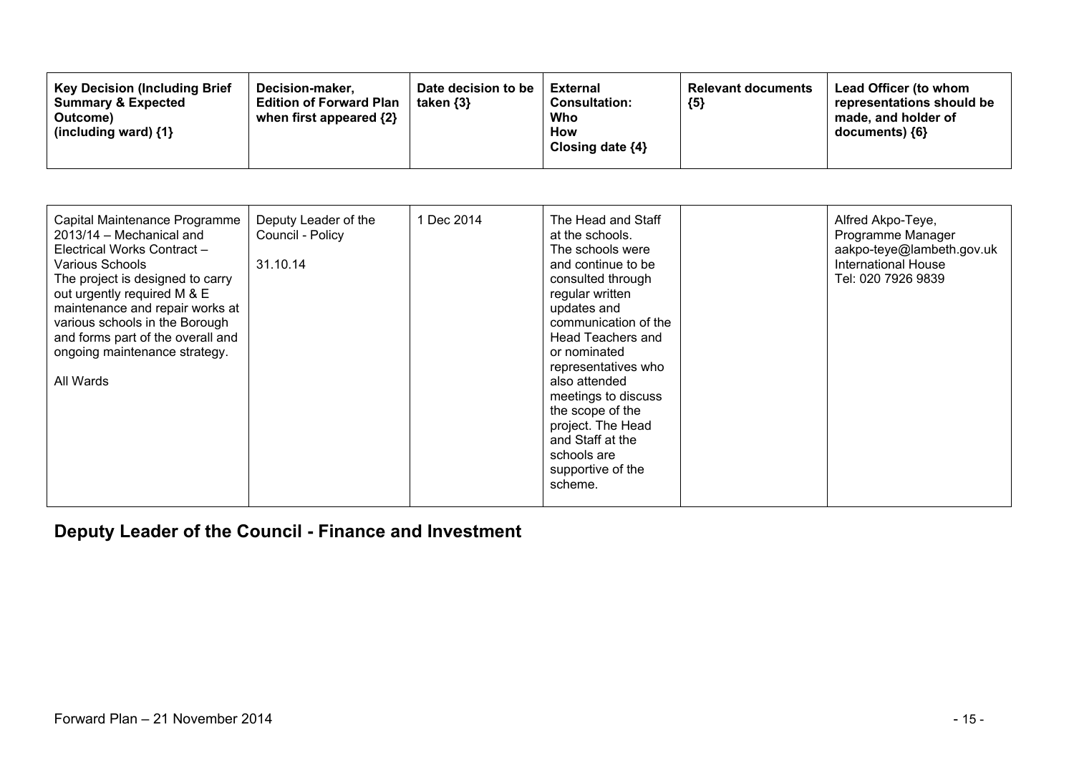| Capital Maintenance Programme<br>2013/14 - Mechanical and<br>Electrical Works Contract -<br>Various Schools<br>The project is designed to carry<br>out urgently required M & E<br>maintenance and repair works at<br>various schools in the Borough<br>and forms part of the overall and<br>ongoing maintenance strategy.<br>All Wards | Deputy Leader of the<br>Council - Policy<br>31.10.14 | 1 Dec 2014 | The Head and Staff<br>at the schools.<br>The schools were<br>and continue to be<br>consulted through<br>regular written<br>updates and<br>communication of the<br>Head Teachers and<br>or nominated<br>representatives who<br>also attended<br>meetings to discuss<br>the scope of the<br>project. The Head<br>and Staff at the<br>schools are<br>supportive of the<br>scheme. |  | Alfred Akpo-Teye,<br>Programme Manager<br>aakpo-teye@lambeth.gov.uk<br><b>International House</b><br>Tel: 020 7926 9839 |
|----------------------------------------------------------------------------------------------------------------------------------------------------------------------------------------------------------------------------------------------------------------------------------------------------------------------------------------|------------------------------------------------------|------------|--------------------------------------------------------------------------------------------------------------------------------------------------------------------------------------------------------------------------------------------------------------------------------------------------------------------------------------------------------------------------------|--|-------------------------------------------------------------------------------------------------------------------------|
|----------------------------------------------------------------------------------------------------------------------------------------------------------------------------------------------------------------------------------------------------------------------------------------------------------------------------------------|------------------------------------------------------|------------|--------------------------------------------------------------------------------------------------------------------------------------------------------------------------------------------------------------------------------------------------------------------------------------------------------------------------------------------------------------------------------|--|-------------------------------------------------------------------------------------------------------------------------|

**Deputy Leader of the Council - Finance and Investment**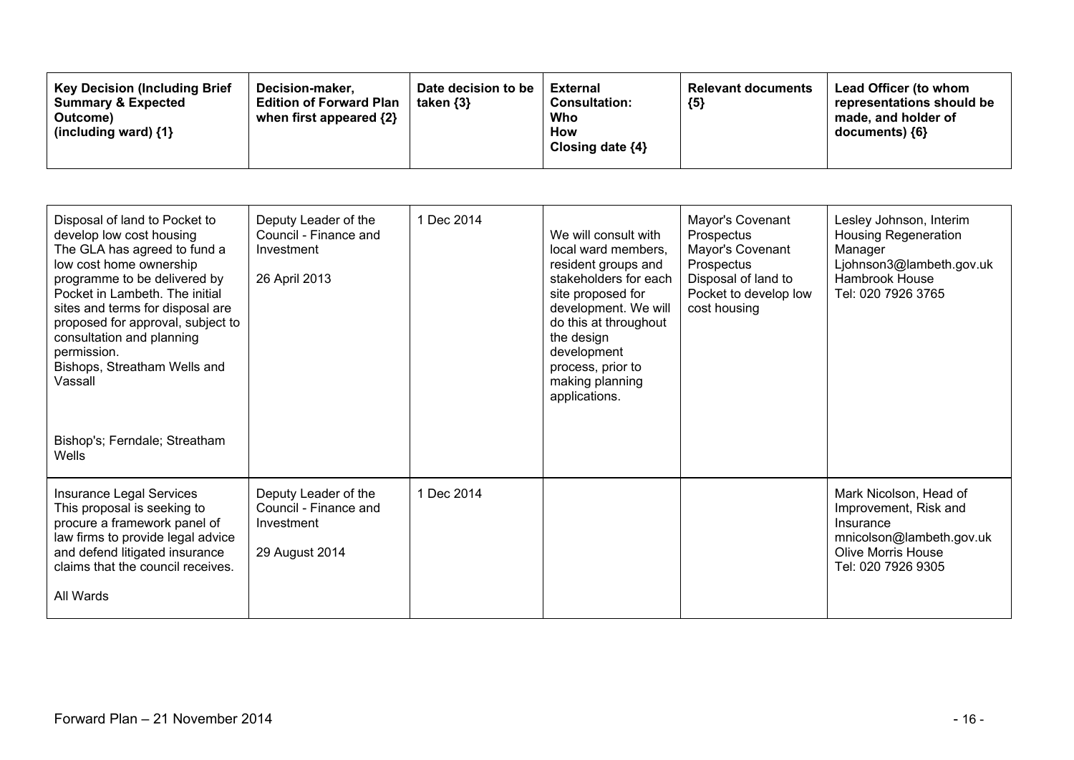| <b>Key Decision (Including Brief</b><br>Date decision to be<br>Decision-maker,<br><b>Summary &amp; Expected</b><br><b>Edition of Forward Plan</b><br>taken $\{3\}$<br>when first appeared {2}<br>Outcome)<br>(including ward) $\{1\}$ | <b>Relevant documents</b><br>External<br><b>Consultation:</b><br>${5}$<br>Who<br>How<br>Closing date $\{4\}$ | Lead Officer (to whom<br>representations should be<br>made, and holder of<br>documents) ${6}$ |
|---------------------------------------------------------------------------------------------------------------------------------------------------------------------------------------------------------------------------------------|--------------------------------------------------------------------------------------------------------------|-----------------------------------------------------------------------------------------------|
|---------------------------------------------------------------------------------------------------------------------------------------------------------------------------------------------------------------------------------------|--------------------------------------------------------------------------------------------------------------|-----------------------------------------------------------------------------------------------|

| Disposal of land to Pocket to<br>develop low cost housing<br>The GLA has agreed to fund a<br>low cost home ownership<br>programme to be delivered by<br>Pocket in Lambeth. The initial<br>sites and terms for disposal are<br>proposed for approval, subject to<br>consultation and planning<br>permission.<br>Bishops, Streatham Wells and<br>Vassall | Deputy Leader of the<br>Council - Finance and<br>Investment<br>26 April 2013  | 1 Dec 2014 | We will consult with<br>local ward members,<br>resident groups and<br>stakeholders for each<br>site proposed for<br>development. We will<br>do this at throughout<br>the design<br>development<br>process, prior to<br>making planning<br>applications. | Mayor's Covenant<br>Prospectus<br>Mayor's Covenant<br>Prospectus<br>Disposal of land to<br>Pocket to develop low<br>cost housing | Lesley Johnson, Interim<br><b>Housing Regeneration</b><br>Manager<br>Ljohnson3@lambeth.gov.uk<br>Hambrook House<br>Tel: 020 7926 3765       |
|--------------------------------------------------------------------------------------------------------------------------------------------------------------------------------------------------------------------------------------------------------------------------------------------------------------------------------------------------------|-------------------------------------------------------------------------------|------------|---------------------------------------------------------------------------------------------------------------------------------------------------------------------------------------------------------------------------------------------------------|----------------------------------------------------------------------------------------------------------------------------------|---------------------------------------------------------------------------------------------------------------------------------------------|
| Bishop's; Ferndale; Streatham<br>Wells                                                                                                                                                                                                                                                                                                                 |                                                                               |            |                                                                                                                                                                                                                                                         |                                                                                                                                  |                                                                                                                                             |
| Insurance Legal Services<br>This proposal is seeking to<br>procure a framework panel of<br>law firms to provide legal advice<br>and defend litigated insurance<br>claims that the council receives.<br>All Wards                                                                                                                                       | Deputy Leader of the<br>Council - Finance and<br>Investment<br>29 August 2014 | 1 Dec 2014 |                                                                                                                                                                                                                                                         |                                                                                                                                  | Mark Nicolson, Head of<br>Improvement, Risk and<br>Insurance<br>mnicolson@lambeth.gov.uk<br><b>Olive Morris House</b><br>Tel: 020 7926 9305 |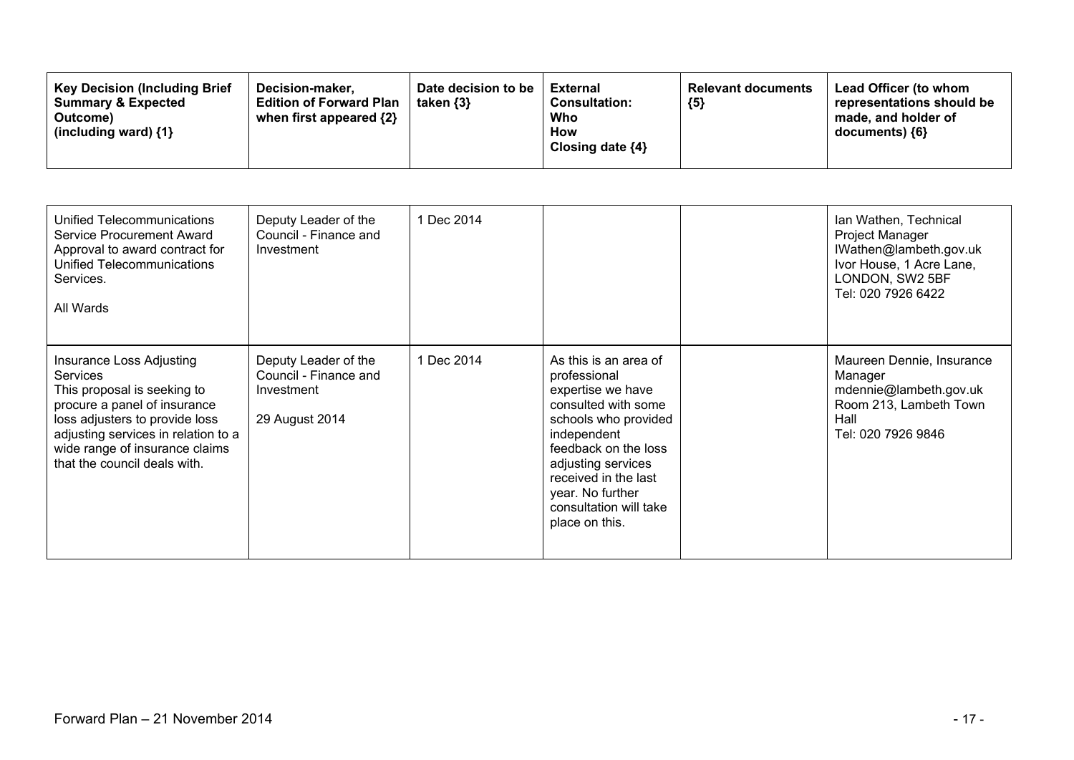| <b>Key Decision (Including Brief)</b><br><b>Summary &amp; Expected</b><br>Outcome)<br>(including ward) $\{1\}$ | Decision-maker.<br><b>Edition of Forward Plan</b><br>when first appeared {2} | Date decision to be<br>taken $\{3\}$ | External<br><b>Consultation:</b><br>Who<br>How<br>Closing date $\{4\}$ | <b>Relevant documents</b><br>${5}$ | Lead Officer (to whom<br>representations should be<br>made, and holder of<br>$documents)$ {6} |
|----------------------------------------------------------------------------------------------------------------|------------------------------------------------------------------------------|--------------------------------------|------------------------------------------------------------------------|------------------------------------|-----------------------------------------------------------------------------------------------|
|----------------------------------------------------------------------------------------------------------------|------------------------------------------------------------------------------|--------------------------------------|------------------------------------------------------------------------|------------------------------------|-----------------------------------------------------------------------------------------------|

| Unified Telecommunications<br>Service Procurement Award<br>Approval to award contract for<br>Unified Telecommunications<br>Services.<br>All Wards                                                                                                     | Deputy Leader of the<br>Council - Finance and<br>Investment                   | 1 Dec 2014 |                                                                                                                                                                                                                                                                | Ian Wathen, Technical<br>Project Manager<br>IWathen@lambeth.gov.uk<br>Ivor House, 1 Acre Lane,<br>LONDON, SW2 5BF<br>Tel: 020 7926 6422 |
|-------------------------------------------------------------------------------------------------------------------------------------------------------------------------------------------------------------------------------------------------------|-------------------------------------------------------------------------------|------------|----------------------------------------------------------------------------------------------------------------------------------------------------------------------------------------------------------------------------------------------------------------|-----------------------------------------------------------------------------------------------------------------------------------------|
| Insurance Loss Adjusting<br><b>Services</b><br>This proposal is seeking to<br>procure a panel of insurance<br>loss adjusters to provide loss<br>adjusting services in relation to a<br>wide range of insurance claims<br>that the council deals with. | Deputy Leader of the<br>Council - Finance and<br>Investment<br>29 August 2014 | 1 Dec 2014 | As this is an area of<br>professional<br>expertise we have<br>consulted with some<br>schools who provided<br>independent<br>feedback on the loss<br>adjusting services<br>received in the last<br>year. No further<br>consultation will take<br>place on this. | Maureen Dennie, Insurance<br>Manager<br>mdennie@lambeth.gov.uk<br>Room 213, Lambeth Town<br>Hall<br>Tel: 020 7926 9846                  |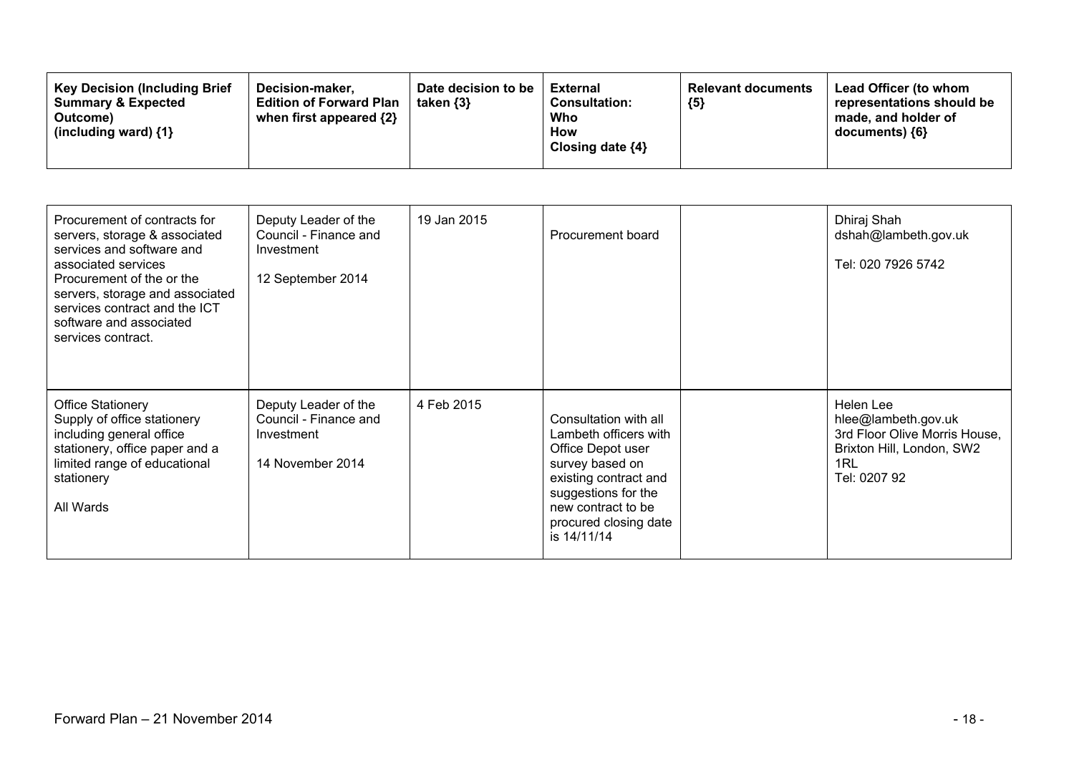| Procurement of contracts for<br>servers, storage & associated<br>services and software and<br>associated services<br>Procurement of the or the<br>servers, storage and associated<br>services contract and the ICT<br>software and associated<br>services contract. | Deputy Leader of the<br>Council - Finance and<br>Investment<br>12 September 2014 | 19 Jan 2015 | Procurement board                                                                                                                                                                                    | Dhiraj Shah<br>dshah@lambeth.gov.uk<br>Tel: 020 7926 5742                                                             |
|---------------------------------------------------------------------------------------------------------------------------------------------------------------------------------------------------------------------------------------------------------------------|----------------------------------------------------------------------------------|-------------|------------------------------------------------------------------------------------------------------------------------------------------------------------------------------------------------------|-----------------------------------------------------------------------------------------------------------------------|
| <b>Office Stationery</b><br>Supply of office stationery<br>including general office<br>stationery, office paper and a<br>limited range of educational<br>stationery<br>All Wards                                                                                    | Deputy Leader of the<br>Council - Finance and<br>Investment<br>14 November 2014  | 4 Feb 2015  | Consultation with all<br>Lambeth officers with<br>Office Depot user<br>survey based on<br>existing contract and<br>suggestions for the<br>new contract to be<br>procured closing date<br>is 14/11/14 | Helen Lee<br>hlee@lambeth.gov.uk<br>3rd Floor Olive Morris House,<br>Brixton Hill, London, SW2<br>1RL<br>Tel: 0207 92 |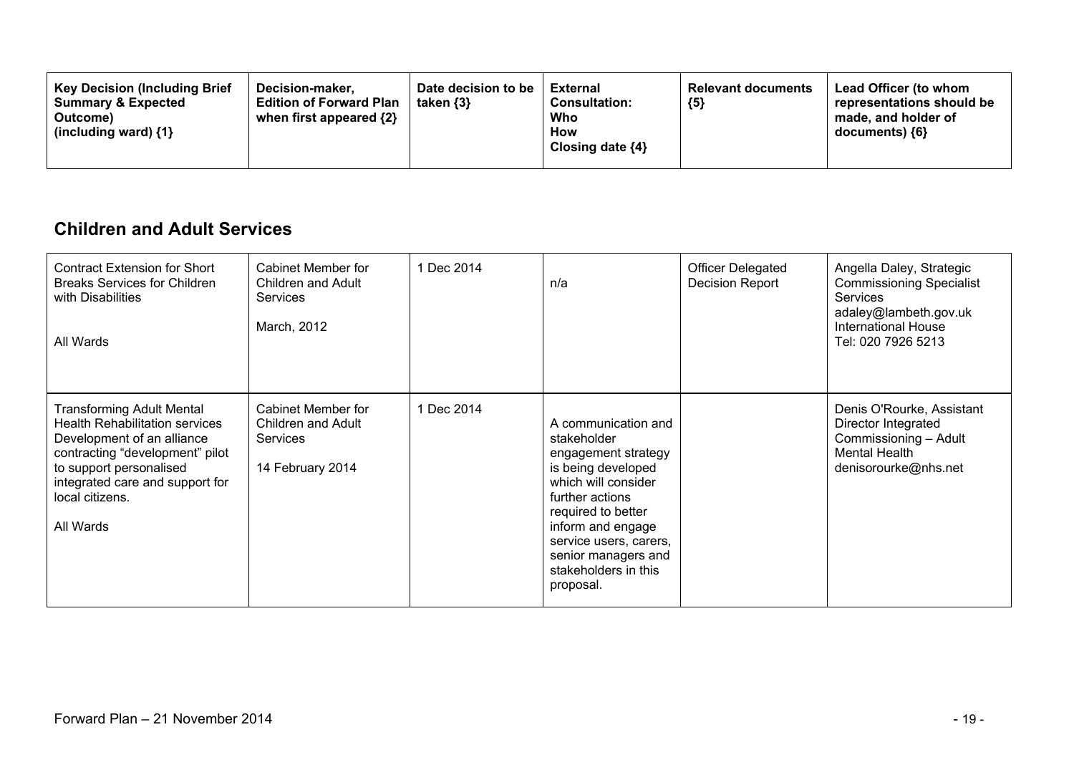| <b>Key Decision (Including Brief</b><br>Decision-maker.<br><b>Summary &amp; Expected</b><br><b>Edition of Forward Plan</b><br>when first appeared $\{2\}$<br>Outcome)<br>(including ward) $\{1\}$ | Date decision to be<br>taken $\{3\}$ | External<br><b>Consultation:</b><br>Who<br>How<br>Closing date $\{4\}$ | <b>Relevant documents</b><br>${5}$ | Lead Officer (to whom<br>representations should be<br>made, and holder of<br>$documents)$ {6} |
|---------------------------------------------------------------------------------------------------------------------------------------------------------------------------------------------------|--------------------------------------|------------------------------------------------------------------------|------------------------------------|-----------------------------------------------------------------------------------------------|
|---------------------------------------------------------------------------------------------------------------------------------------------------------------------------------------------------|--------------------------------------|------------------------------------------------------------------------|------------------------------------|-----------------------------------------------------------------------------------------------|

### **Children and Adult Services**

| <b>Contract Extension for Short</b><br><b>Breaks Services for Children</b><br>with Disabilities<br>All Wards                                                                                                                             | Cabinet Member for<br>Children and Adult<br><b>Services</b><br>March, 2012 | 1 Dec 2014 | n/a                                                                                                                                                                                                                                                        | <b>Officer Delegated</b><br>Decision Report | Angella Daley, Strategic<br><b>Commissioning Specialist</b><br><b>Services</b><br>adaley@lambeth.gov.uk<br><b>International House</b><br>Tel: 020 7926 5213 |
|------------------------------------------------------------------------------------------------------------------------------------------------------------------------------------------------------------------------------------------|----------------------------------------------------------------------------|------------|------------------------------------------------------------------------------------------------------------------------------------------------------------------------------------------------------------------------------------------------------------|---------------------------------------------|-------------------------------------------------------------------------------------------------------------------------------------------------------------|
| <b>Transforming Adult Mental</b><br><b>Health Rehabilitation services</b><br>Development of an alliance<br>contracting "development" pilot<br>to support personalised<br>integrated care and support for<br>local citizens.<br>All Wards | Cabinet Member for<br>Children and Adult<br>Services<br>14 February 2014   | 1 Dec 2014 | A communication and<br>stakeholder<br>engagement strategy<br>is being developed<br>which will consider<br>further actions<br>required to better<br>inform and engage<br>service users, carers,<br>senior managers and<br>stakeholders in this<br>proposal. |                                             | Denis O'Rourke, Assistant<br>Director Integrated<br>Commissioning - Adult<br><b>Mental Health</b><br>denisorourke@nhs.net                                   |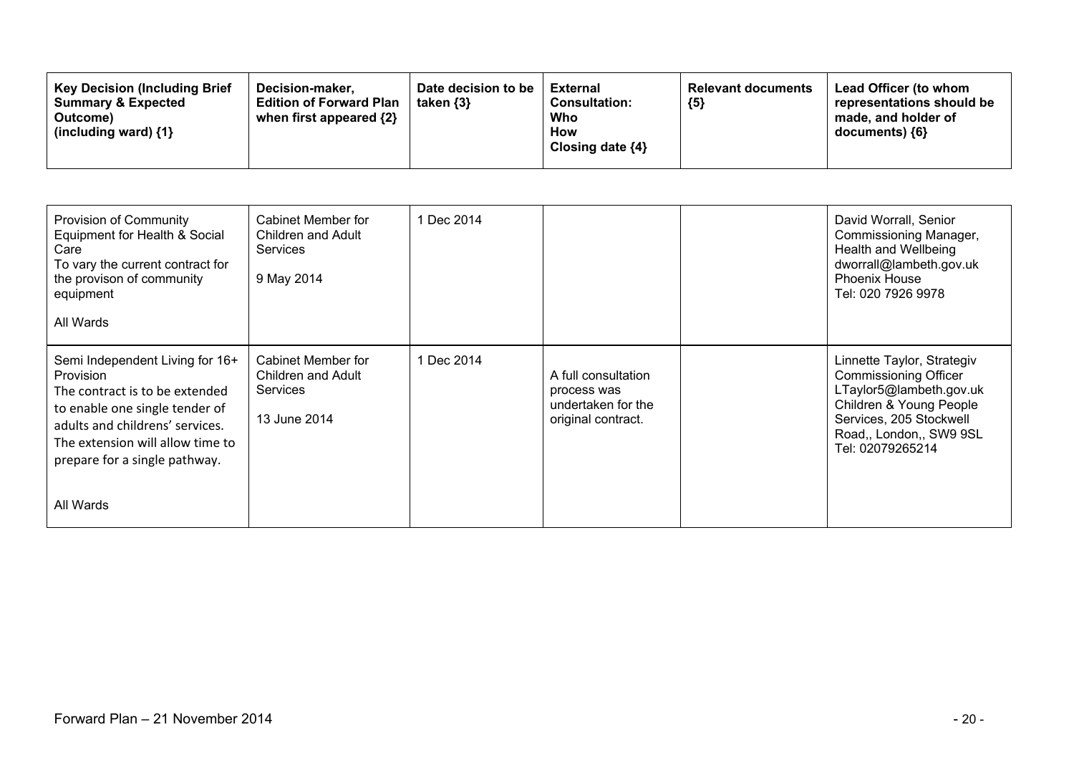| Provision of Community<br>Equipment for Health & Social<br>Care<br>To vary the current contract for<br>the provison of community<br>equipment<br>All Wards                                                                                   | Cabinet Member for<br>Children and Adult<br><b>Services</b><br>9 May 2014   | 1 Dec 2014 |                                                                                | David Worrall, Senior<br>Commissioning Manager,<br>Health and Wellbeing<br>dworrall@lambeth.gov.uk<br><b>Phoenix House</b><br>Tel: 020 7926 9978                                           |
|----------------------------------------------------------------------------------------------------------------------------------------------------------------------------------------------------------------------------------------------|-----------------------------------------------------------------------------|------------|--------------------------------------------------------------------------------|--------------------------------------------------------------------------------------------------------------------------------------------------------------------------------------------|
| Semi Independent Living for 16+<br><b>Provision</b><br>The contract is to be extended<br>to enable one single tender of<br>adults and childrens' services.<br>The extension will allow time to<br>prepare for a single pathway.<br>All Wards | Cabinet Member for<br><b>Children and Adult</b><br>Services<br>13 June 2014 | 1 Dec 2014 | A full consultation<br>process was<br>undertaken for the<br>original contract. | Linnette Taylor, Strategiv<br><b>Commissioning Officer</b><br>LTaylor5@lambeth.gov.uk<br>Children & Young People<br>Services, 205 Stockwell<br>Road,, London,, SW9 9SL<br>Tel: 02079265214 |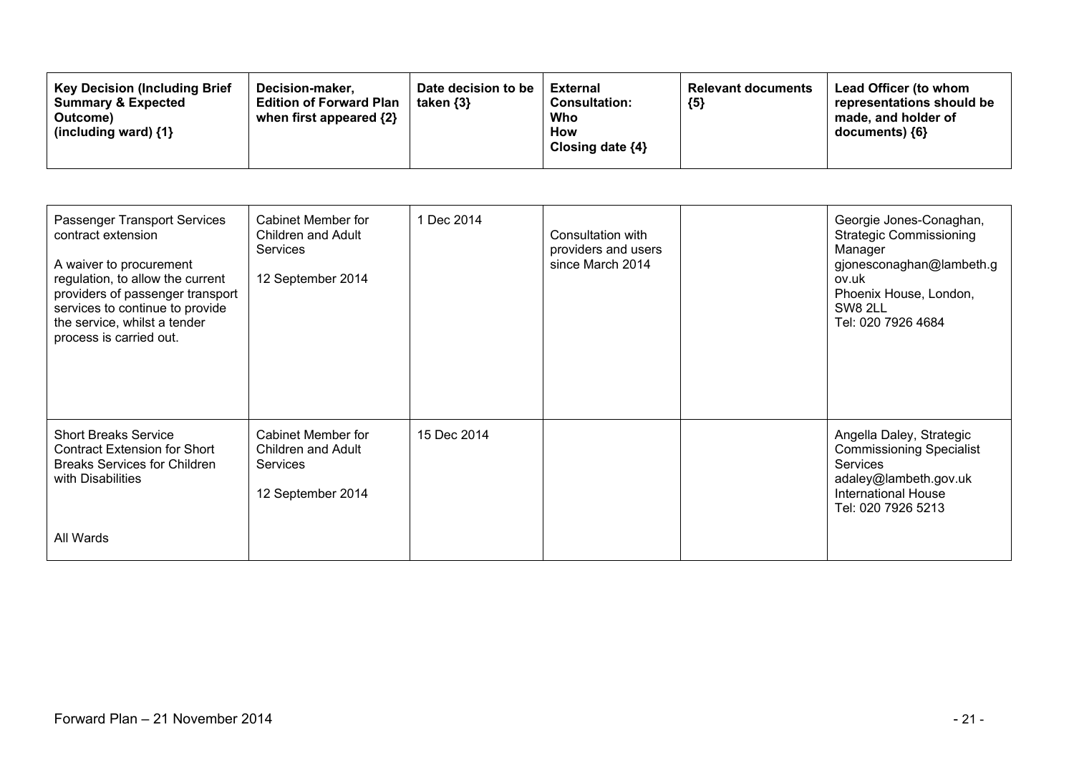| <b>Key Decision (Including Brief)</b><br><b>Summary &amp; Expected</b><br>Outcome)<br>(including ward) $\{1\}$ | Date decision to be<br>Decision-maker.<br><b>Edition of Forward Plan</b><br>taken $\{3\}$<br>when first appeared {2} | <b>External</b><br><b>Consultation:</b><br>Who<br>How<br>Closing date $\{4\}$ | <b>Relevant documents</b><br>${5}$ | Lead Officer (to whom<br>representations should be<br>made, and holder of<br>documents) ${6}$ |
|----------------------------------------------------------------------------------------------------------------|----------------------------------------------------------------------------------------------------------------------|-------------------------------------------------------------------------------|------------------------------------|-----------------------------------------------------------------------------------------------|
|----------------------------------------------------------------------------------------------------------------|----------------------------------------------------------------------------------------------------------------------|-------------------------------------------------------------------------------|------------------------------------|-----------------------------------------------------------------------------------------------|

| Passenger Transport Services<br>contract extension<br>A waiver to procurement<br>regulation, to allow the current<br>providers of passenger transport<br>services to continue to provide<br>the service, whilst a tender<br>process is carried out. | Cabinet Member for<br>Children and Adult<br><b>Services</b><br>12 September 2014        | 1 Dec 2014  | Consultation with<br>providers and users<br>since March 2014 | Georgie Jones-Conaghan,<br><b>Strategic Commissioning</b><br>Manager<br>gjonesconaghan@lambeth.g<br>ov.uk<br>Phoenix House, London,<br>SW8 2LL<br>Tel: 020 7926 4684 |
|-----------------------------------------------------------------------------------------------------------------------------------------------------------------------------------------------------------------------------------------------------|-----------------------------------------------------------------------------------------|-------------|--------------------------------------------------------------|----------------------------------------------------------------------------------------------------------------------------------------------------------------------|
| <b>Short Breaks Service</b><br><b>Contract Extension for Short</b><br><b>Breaks Services for Children</b><br>with Disabilities<br>All Wards                                                                                                         | <b>Cabinet Member for</b><br>Children and Adult<br><b>Services</b><br>12 September 2014 | 15 Dec 2014 |                                                              | Angella Daley, Strategic<br><b>Commissioning Specialist</b><br><b>Services</b><br>adaley@lambeth.gov.uk<br><b>International House</b><br>Tel: 020 7926 5213          |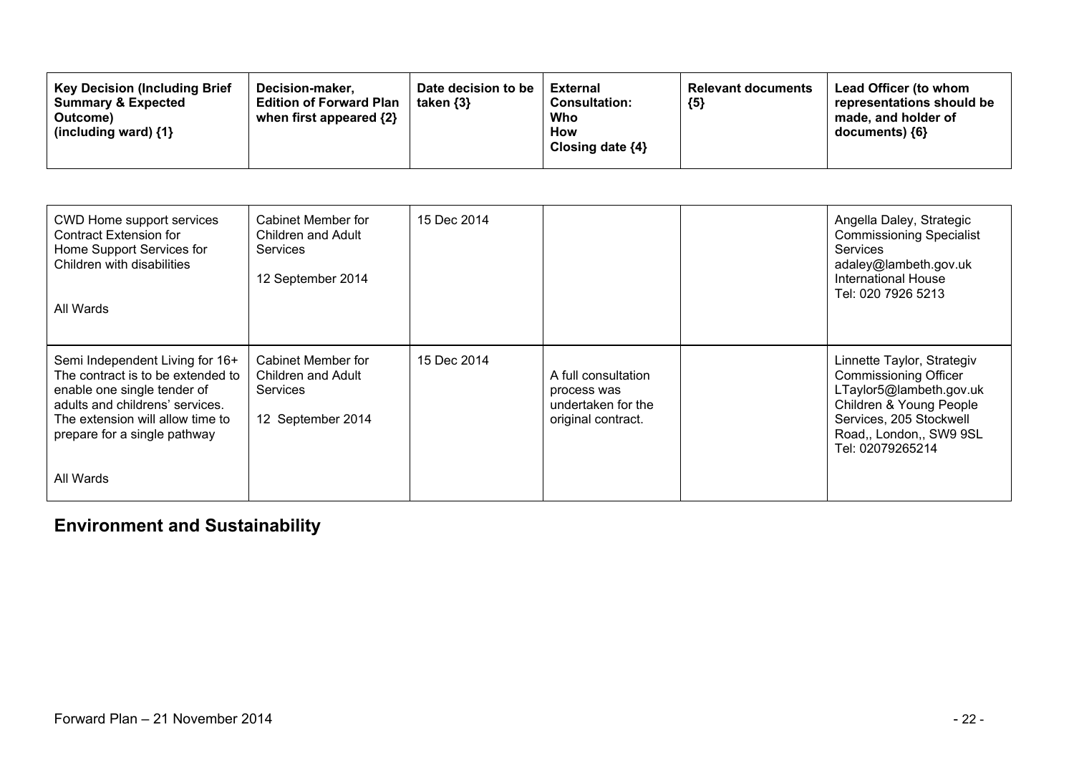| CWD Home support services<br><b>Contract Extension for</b><br>Home Support Services for<br>Children with disabilities<br>All Wards                                                                                      | Cabinet Member for<br>Children and Adult<br><b>Services</b><br>12 September 2014 | 15 Dec 2014 |                                                                                | Angella Daley, Strategic<br><b>Commissioning Specialist</b><br><b>Services</b><br>adaley@lambeth.gov.uk<br><b>International House</b><br>Tel: 020 7926 5213                                |
|-------------------------------------------------------------------------------------------------------------------------------------------------------------------------------------------------------------------------|----------------------------------------------------------------------------------|-------------|--------------------------------------------------------------------------------|--------------------------------------------------------------------------------------------------------------------------------------------------------------------------------------------|
| Semi Independent Living for 16+<br>The contract is to be extended to<br>enable one single tender of<br>adults and childrens' services.<br>The extension will allow time to<br>prepare for a single pathway<br>All Wards | Cabinet Member for<br>Children and Adult<br><b>Services</b><br>12 September 2014 | 15 Dec 2014 | A full consultation<br>process was<br>undertaken for the<br>original contract. | Linnette Taylor, Strategiv<br><b>Commissioning Officer</b><br>LTaylor5@lambeth.gov.uk<br>Children & Young People<br>Services, 205 Stockwell<br>Road,, London,, SW9 9SL<br>Tel: 02079265214 |

## **Environment and Sustainability**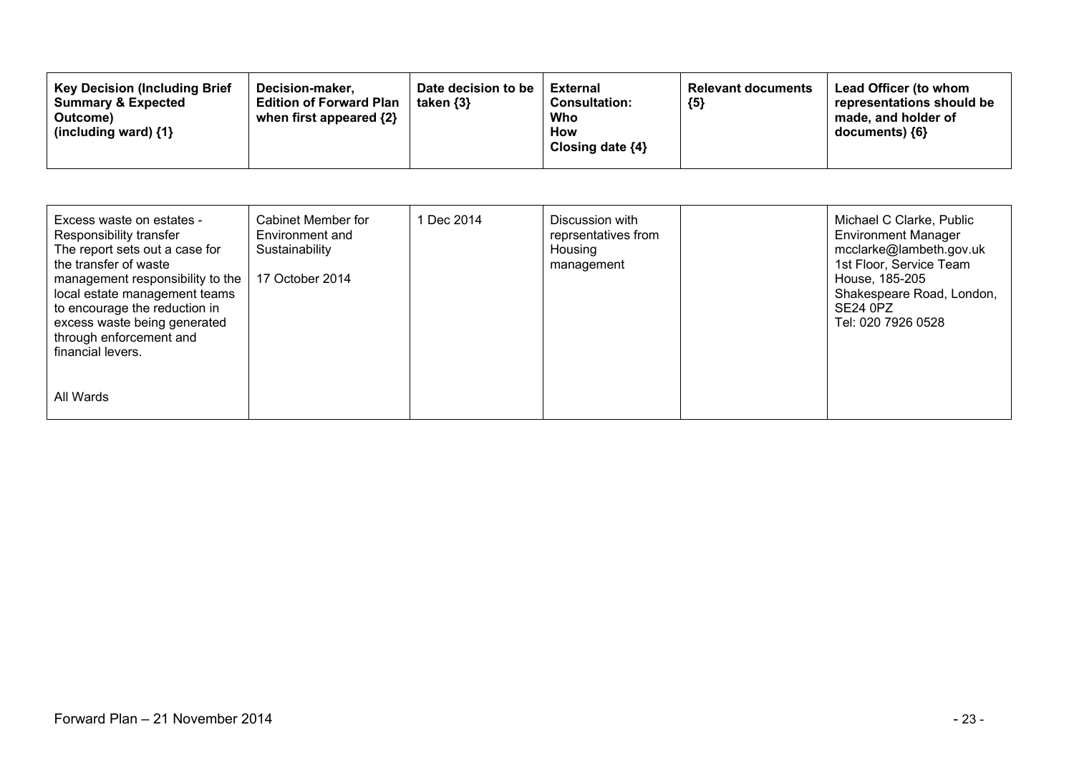| <b>Key Decision (Including Brief)</b><br>Decision-maker.<br><b>Summary &amp; Expected</b><br><b>Edition of Forward Plan</b><br>when first appeared $\{2\}$<br>Outcome)<br>(including ward) $\{1\}$ | Date decision to be<br>taken $\{3\}$ | External<br><b>Consultation:</b><br>Who<br><b>How</b><br>Closing date $\{4\}$ | <b>Relevant documents</b><br>${5}$ | Lead Officer (to whom<br>representations should be<br>made, and holder of<br>$documents)$ {6} |
|----------------------------------------------------------------------------------------------------------------------------------------------------------------------------------------------------|--------------------------------------|-------------------------------------------------------------------------------|------------------------------------|-----------------------------------------------------------------------------------------------|
|----------------------------------------------------------------------------------------------------------------------------------------------------------------------------------------------------|--------------------------------------|-------------------------------------------------------------------------------|------------------------------------|-----------------------------------------------------------------------------------------------|

| Excess waste on estates -<br>Responsibility transfer<br>The report sets out a case for<br>the transfer of waste<br>management responsibility to the<br>local estate management teams<br>to encourage the reduction in<br>excess waste being generated<br>through enforcement and<br>financial levers. | Cabinet Member for<br>Environment and<br>Sustainability<br>17 October 2014 | 1 Dec 2014 | Discussion with<br>reprsentatives from<br>Housing<br>management | Michael C Clarke, Public<br><b>Environment Manager</b><br>mcclarke@lambeth.gov.uk<br>1st Floor, Service Team<br>House, 185-205<br>Shakespeare Road, London,<br><b>SE24 0PZ</b><br>Tel: 020 7926 0528 |
|-------------------------------------------------------------------------------------------------------------------------------------------------------------------------------------------------------------------------------------------------------------------------------------------------------|----------------------------------------------------------------------------|------------|-----------------------------------------------------------------|------------------------------------------------------------------------------------------------------------------------------------------------------------------------------------------------------|
| All Wards                                                                                                                                                                                                                                                                                             |                                                                            |            |                                                                 |                                                                                                                                                                                                      |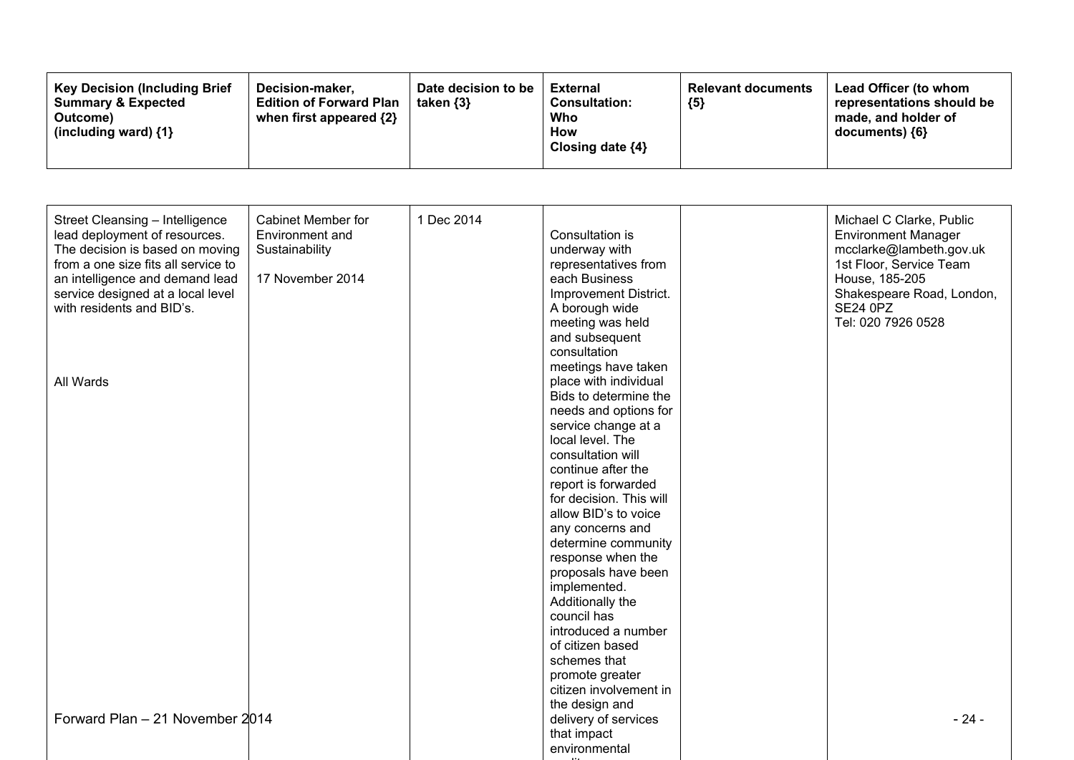| <b>Key Decision (Including Brief)</b><br><b>Summary &amp; Expected</b><br>Outcome)<br>(including ward) $\{1\}$ | Decision-maker.<br><b>Edition of Forward Plan</b><br>when first appeared $\{2\}$ | Date decision to be<br>taken $\{3\}$ | External<br><b>Consultation:</b><br>Who<br>How<br>Closing date $\{4\}$ | <b>Relevant documents</b><br>${5}$ | Lead Officer (to whom<br>representations should be<br>made, and holder of<br>documents) ${6}$ |
|----------------------------------------------------------------------------------------------------------------|----------------------------------------------------------------------------------|--------------------------------------|------------------------------------------------------------------------|------------------------------------|-----------------------------------------------------------------------------------------------|
|----------------------------------------------------------------------------------------------------------------|----------------------------------------------------------------------------------|--------------------------------------|------------------------------------------------------------------------|------------------------------------|-----------------------------------------------------------------------------------------------|

| Street Cleansing - Intelligence<br>lead deployment of resources.<br>The decision is based on moving<br>from a one size fits all service to<br>an intelligence and demand lead<br>service designed at a local level<br>with residents and BID's. | <b>Cabinet Member for</b><br>Environment and<br>Sustainability<br>17 November 2014 | 1 Dec 2014 | Consultation is<br>underway with<br>representatives from<br>each Business<br>Improvement District.<br>A borough wide<br>meeting was held<br>and subsequent<br>consultation                                                                                                                                                                                                                                                                                          | Michael C Clarke, Public<br><b>Environment Manager</b><br>mcclarke@lambeth.gov.uk<br>1st Floor, Service Team<br>House, 185-205<br>Shakespeare Road, London,<br><b>SE24 0PZ</b><br>Tel: 020 7926 0528 |
|-------------------------------------------------------------------------------------------------------------------------------------------------------------------------------------------------------------------------------------------------|------------------------------------------------------------------------------------|------------|---------------------------------------------------------------------------------------------------------------------------------------------------------------------------------------------------------------------------------------------------------------------------------------------------------------------------------------------------------------------------------------------------------------------------------------------------------------------|------------------------------------------------------------------------------------------------------------------------------------------------------------------------------------------------------|
| All Wards                                                                                                                                                                                                                                       |                                                                                    |            | meetings have taken<br>place with individual<br>Bids to determine the<br>needs and options for<br>service change at a<br>local level. The<br>consultation will<br>continue after the<br>report is forwarded<br>for decision. This will<br>allow BID's to voice<br>any concerns and<br>determine community<br>response when the<br>proposals have been<br>implemented.<br>Additionally the<br>council has<br>introduced a number<br>of citizen based<br>schemes that |                                                                                                                                                                                                      |
| Forward Plan - 21 November 2014                                                                                                                                                                                                                 |                                                                                    |            | promote greater<br>citizen involvement in<br>the design and<br>delivery of services<br>that impact<br>environmental                                                                                                                                                                                                                                                                                                                                                 | $-24-$                                                                                                                                                                                               |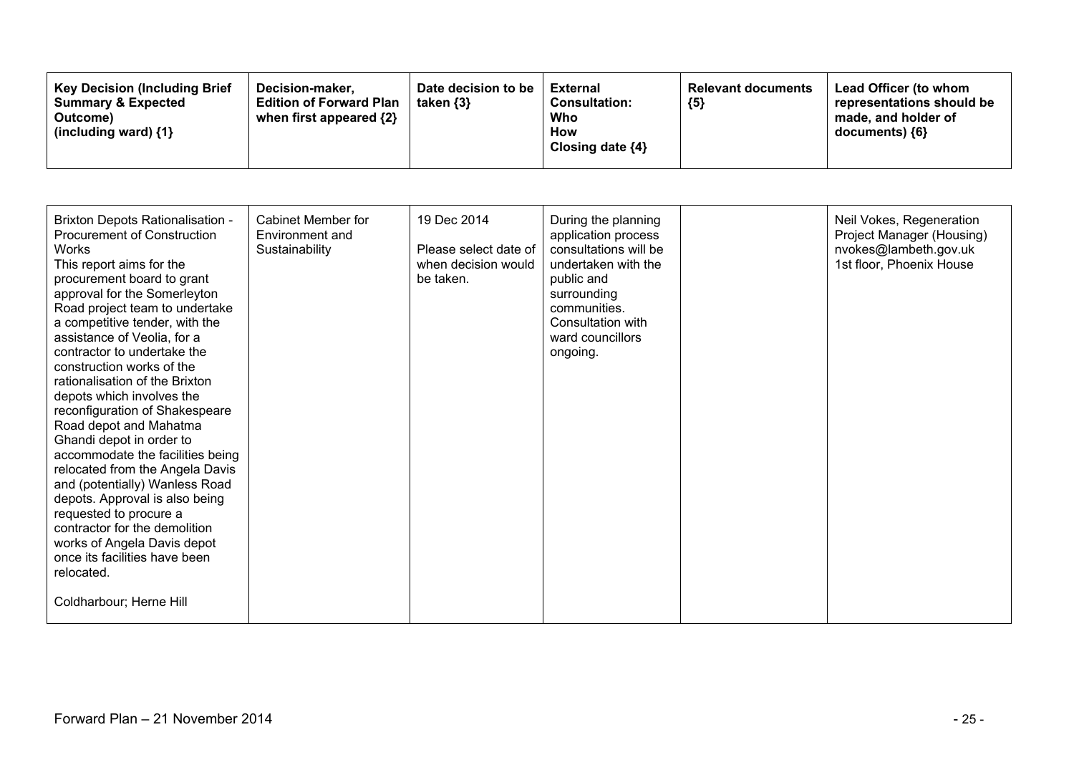| <b>Key Decision (Including Brief</b><br><b>Summary &amp; Expected</b><br>Outcome)<br>(including ward) $\{1\}$ | Decision-maker,<br><b>Edition of Forward Plan</b><br>when first appeared {2} | Date decision to be<br>taken $\{3\}$ | External<br><b>Consultation:</b><br>Who<br>How<br>Closing date ${4}$ | <b>Relevant documents</b><br>${5}$ | Lead Officer (to whom<br>representations should be<br>made, and holder of<br>documents) ${6}$ |
|---------------------------------------------------------------------------------------------------------------|------------------------------------------------------------------------------|--------------------------------------|----------------------------------------------------------------------|------------------------------------|-----------------------------------------------------------------------------------------------|
|---------------------------------------------------------------------------------------------------------------|------------------------------------------------------------------------------|--------------------------------------|----------------------------------------------------------------------|------------------------------------|-----------------------------------------------------------------------------------------------|

| <b>Brixton Depots Rationalisation -</b><br><b>Procurement of Construction</b><br><b>Works</b><br>This report aims for the<br>procurement board to grant<br>approval for the Somerleyton<br>Road project team to undertake<br>a competitive tender, with the<br>assistance of Veolia, for a<br>contractor to undertake the<br>construction works of the<br>rationalisation of the Brixton<br>depots which involves the<br>reconfiguration of Shakespeare<br>Road depot and Mahatma<br>Ghandi depot in order to<br>accommodate the facilities being<br>relocated from the Angela Davis<br>and (potentially) Wanless Road<br>depots. Approval is also being<br>requested to procure a<br>contractor for the demolition<br>works of Angela Davis depot<br>once its facilities have been<br>relocated.<br>Coldharbour; Herne Hill | Cabinet Member for<br>Environment and<br>Sustainability | 19 Dec 2014<br>Please select date of<br>when decision would<br>be taken. | During the planning<br>application process<br>consultations will be<br>undertaken with the<br>public and<br>surrounding<br>communities.<br>Consultation with<br>ward councillors<br>ongoing. | Neil Vokes, Regeneration<br>Project Manager (Housing)<br>nvokes@lambeth.gov.uk<br>1st floor, Phoenix House |
|------------------------------------------------------------------------------------------------------------------------------------------------------------------------------------------------------------------------------------------------------------------------------------------------------------------------------------------------------------------------------------------------------------------------------------------------------------------------------------------------------------------------------------------------------------------------------------------------------------------------------------------------------------------------------------------------------------------------------------------------------------------------------------------------------------------------------|---------------------------------------------------------|--------------------------------------------------------------------------|----------------------------------------------------------------------------------------------------------------------------------------------------------------------------------------------|------------------------------------------------------------------------------------------------------------|
|                                                                                                                                                                                                                                                                                                                                                                                                                                                                                                                                                                                                                                                                                                                                                                                                                              |                                                         |                                                                          |                                                                                                                                                                                              |                                                                                                            |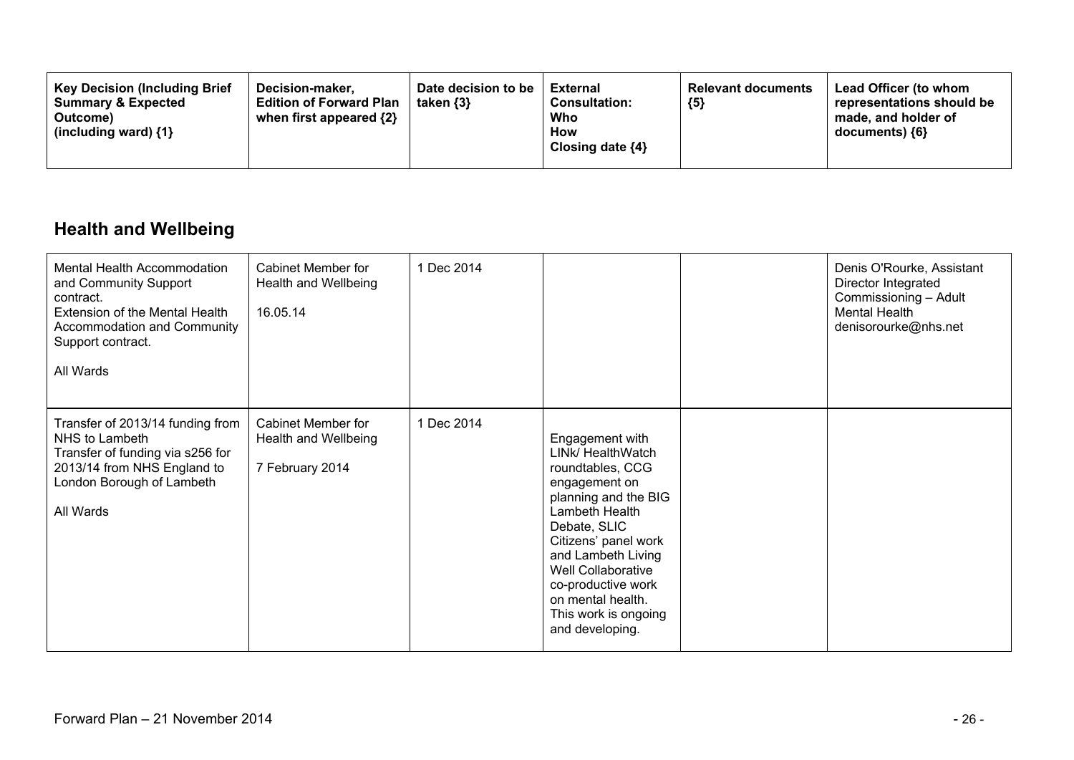| <b>Key Decision (Including Brief</b><br><b>Summary &amp; Expected</b><br>Outcome)<br>(including ward) $\{1\}$ | Decision-maker.<br><b>Edition of Forward Plan</b><br>when first appeared $\{2\}$ | Date decision to be<br>taken $\{3\}$ | External<br><b>Consultation:</b><br>Who<br>How<br>Closing date $\{4\}$ | <b>Relevant documents</b><br>${5}$ | Lead Officer (to whom<br>representations should be<br>made, and holder of<br>$documents)$ {6} |
|---------------------------------------------------------------------------------------------------------------|----------------------------------------------------------------------------------|--------------------------------------|------------------------------------------------------------------------|------------------------------------|-----------------------------------------------------------------------------------------------|
|---------------------------------------------------------------------------------------------------------------|----------------------------------------------------------------------------------|--------------------------------------|------------------------------------------------------------------------|------------------------------------|-----------------------------------------------------------------------------------------------|

## **Health and Wellbeing**

| Mental Health Accommodation<br>and Community Support<br>contract.<br><b>Extension of the Mental Health</b><br>Accommodation and Community<br>Support contract.<br>All Wards | <b>Cabinet Member for</b><br>Health and Wellbeing<br>16.05.14        | 1 Dec 2014 |                                                                                                                                                                                                                                                                                               | Denis O'Rourke, Assistant<br>Director Integrated<br>Commissioning - Adult<br>Mental Health<br>denisorourke@nhs.net |
|-----------------------------------------------------------------------------------------------------------------------------------------------------------------------------|----------------------------------------------------------------------|------------|-----------------------------------------------------------------------------------------------------------------------------------------------------------------------------------------------------------------------------------------------------------------------------------------------|--------------------------------------------------------------------------------------------------------------------|
| Transfer of 2013/14 funding from<br>NHS to Lambeth<br>Transfer of funding via s256 for<br>2013/14 from NHS England to<br>London Borough of Lambeth<br>All Wards             | <b>Cabinet Member for</b><br>Health and Wellbeing<br>7 February 2014 | 1 Dec 2014 | Engagement with<br>LINk/ HealthWatch<br>roundtables, CCG<br>engagement on<br>planning and the BIG<br>Lambeth Health<br>Debate, SLIC<br>Citizens' panel work<br>and Lambeth Living<br>Well Collaborative<br>co-productive work<br>on mental health.<br>This work is ongoing<br>and developing. |                                                                                                                    |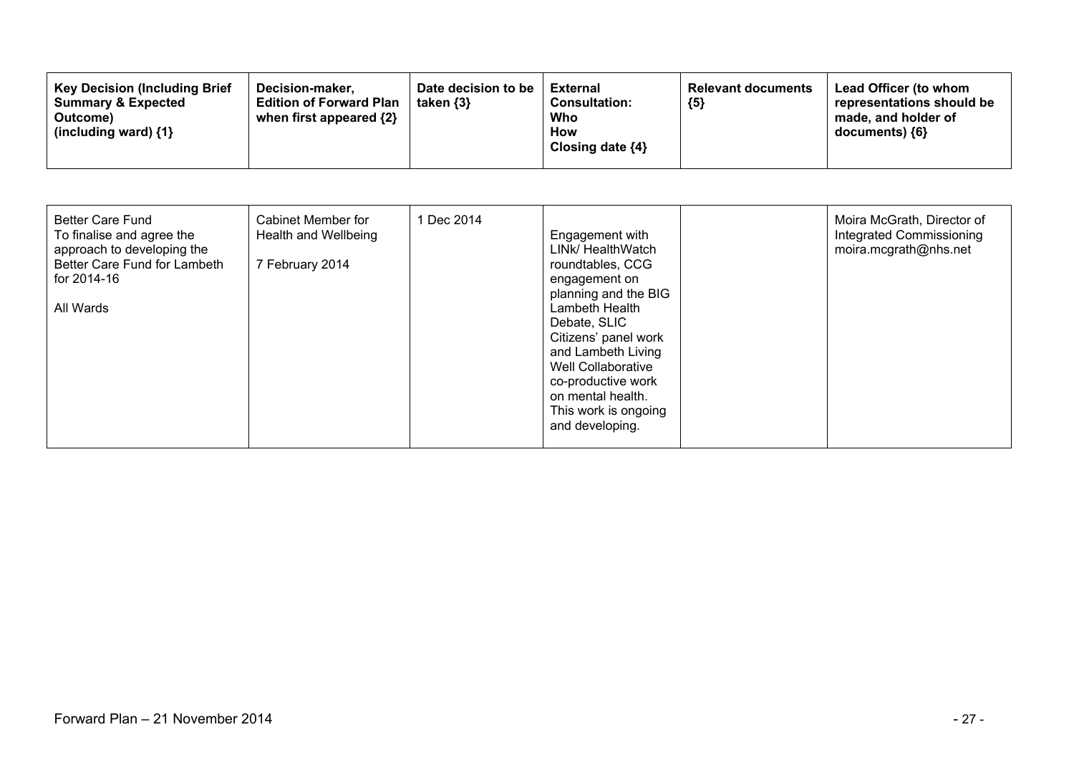| <b>Key Decision (Including Brief)</b><br>Decision-maker.<br><b>Summary &amp; Expected</b><br><b>Edition of Forward Plan</b><br>when first appeared $\{2\}$<br>Outcome)<br>(including ward) $\{1\}$ | Date decision to be<br><b>External</b><br><b>Consultation:</b><br>Who<br>How<br>Closing date $\{4\}$ | taken {3} | <b>Relevant documents</b><br>${5}$ | Lead Officer (to whom<br>representations should be<br>made, and holder of<br>$documents)$ {6} |
|----------------------------------------------------------------------------------------------------------------------------------------------------------------------------------------------------|------------------------------------------------------------------------------------------------------|-----------|------------------------------------|-----------------------------------------------------------------------------------------------|
|----------------------------------------------------------------------------------------------------------------------------------------------------------------------------------------------------|------------------------------------------------------------------------------------------------------|-----------|------------------------------------|-----------------------------------------------------------------------------------------------|

| <b>Better Care Fund</b><br>To finalise and agree the<br>approach to developing the<br>Better Care Fund for Lambeth<br>for 2014-16<br>All Wards | Cabinet Member for<br>Health and Wellbeing<br>7 February 2014 | 1 Dec 2014 | Engagement with<br>LINK/ HealthWatch<br>roundtables, CCG<br>engagement on<br>planning and the BIG<br>Lambeth Health<br>Debate, SLIC<br>Citizens' panel work<br>and Lambeth Living<br>Well Collaborative<br>co-productive work<br>on mental health.<br>This work is ongoing<br>and developing. |  | Moira McGrath, Director of<br>Integrated Commissioning<br>moira.mcgrath@nhs.net |
|------------------------------------------------------------------------------------------------------------------------------------------------|---------------------------------------------------------------|------------|-----------------------------------------------------------------------------------------------------------------------------------------------------------------------------------------------------------------------------------------------------------------------------------------------|--|---------------------------------------------------------------------------------|
|------------------------------------------------------------------------------------------------------------------------------------------------|---------------------------------------------------------------|------------|-----------------------------------------------------------------------------------------------------------------------------------------------------------------------------------------------------------------------------------------------------------------------------------------------|--|---------------------------------------------------------------------------------|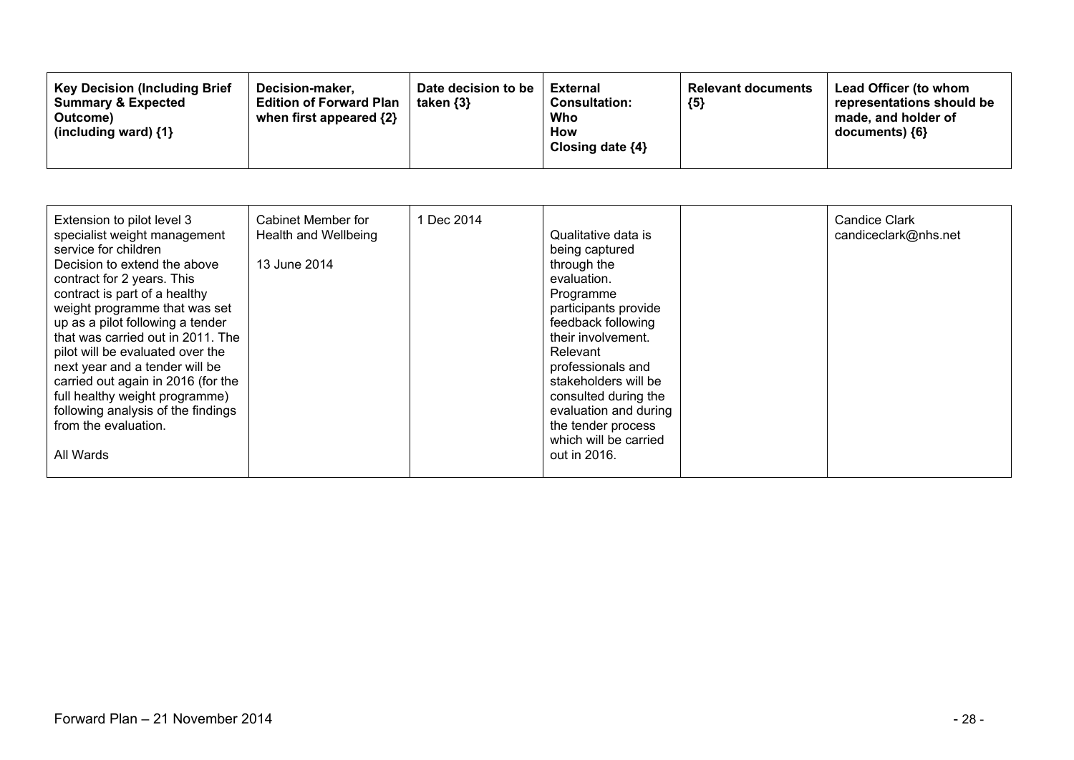| Extension to pilot level 3<br>specialist weight management<br>service for children<br>Decision to extend the above<br>contract for 2 years. This<br>contract is part of a healthy<br>weight programme that was set<br>up as a pilot following a tender<br>that was carried out in 2011. The<br>pilot will be evaluated over the<br>next year and a tender will be<br>carried out again in 2016 (for the<br>full healthy weight programme)<br>following analysis of the findings<br>from the evaluation.<br>All Wards | Cabinet Member for<br>Health and Wellbeing<br>13 June 2014 | 1 Dec 2014 | Qualitative data is<br>being captured<br>through the<br>evaluation.<br>Programme<br>participants provide<br>feedback following<br>their involvement.<br>Relevant<br>professionals and<br>stakeholders will be<br>consulted during the<br>evaluation and during<br>the tender process<br>which will be carried<br>out in 2016. |  | <b>Candice Clark</b><br>candiceclark@nhs.net |
|----------------------------------------------------------------------------------------------------------------------------------------------------------------------------------------------------------------------------------------------------------------------------------------------------------------------------------------------------------------------------------------------------------------------------------------------------------------------------------------------------------------------|------------------------------------------------------------|------------|-------------------------------------------------------------------------------------------------------------------------------------------------------------------------------------------------------------------------------------------------------------------------------------------------------------------------------|--|----------------------------------------------|
|----------------------------------------------------------------------------------------------------------------------------------------------------------------------------------------------------------------------------------------------------------------------------------------------------------------------------------------------------------------------------------------------------------------------------------------------------------------------------------------------------------------------|------------------------------------------------------------|------------|-------------------------------------------------------------------------------------------------------------------------------------------------------------------------------------------------------------------------------------------------------------------------------------------------------------------------------|--|----------------------------------------------|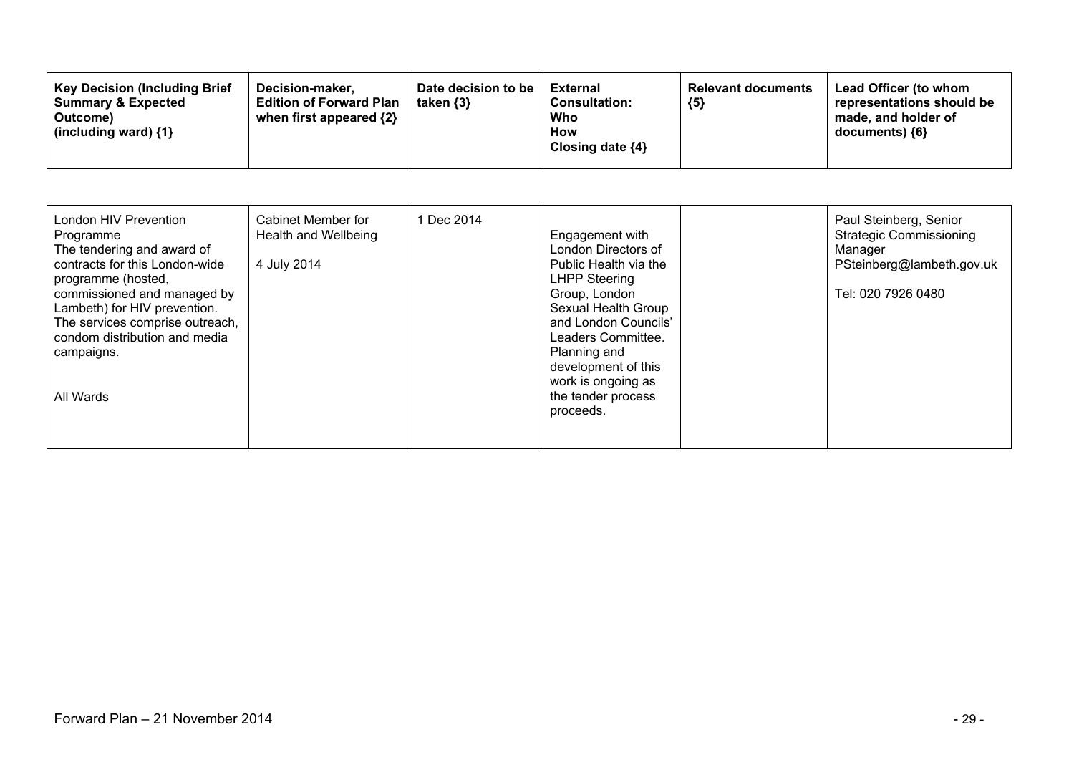| <b>Key Decision (Including Brief</b><br>Date decision to be<br>Decision-maker.<br><b>Summary &amp; Expected</b><br><b>Edition of Forward Plan</b><br>taken {3}<br>when first appeared {2}<br>Outcome)<br>(including ward) $\{1\}$ | External<br><b>Relevant documents</b><br><b>Consultation:</b><br>${5}$<br>Who<br><b>How</b><br>Closing date $\{4\}$ | Lead Officer (to whom<br>representations should be<br>made, and holder of<br>documents) ${6}$ |
|-----------------------------------------------------------------------------------------------------------------------------------------------------------------------------------------------------------------------------------|---------------------------------------------------------------------------------------------------------------------|-----------------------------------------------------------------------------------------------|
|-----------------------------------------------------------------------------------------------------------------------------------------------------------------------------------------------------------------------------------|---------------------------------------------------------------------------------------------------------------------|-----------------------------------------------------------------------------------------------|

| London HIV Prevention<br>Programme<br>The tendering and award of<br>contracts for this London-wide<br>programme (hosted,<br>commissioned and managed by<br>Lambeth) for HIV prevention.<br>The services comprise outreach,<br>condom distribution and media<br>campaigns.<br>All Wards | Cabinet Member for<br>Health and Wellbeing<br>4 July 2014 | 1 Dec 2014 | Engagement with<br>London Directors of<br>Public Health via the<br><b>LHPP Steering</b><br>Group, London<br>Sexual Health Group<br>and London Councils'<br>Leaders Committee.<br>Planning and<br>development of this<br>work is ongoing as<br>the tender process<br>proceeds. |  | Paul Steinberg, Senior<br><b>Strategic Commissioning</b><br>Manager<br>PSteinberg@lambeth.gov.uk<br>Tel: 020 7926 0480 |
|----------------------------------------------------------------------------------------------------------------------------------------------------------------------------------------------------------------------------------------------------------------------------------------|-----------------------------------------------------------|------------|-------------------------------------------------------------------------------------------------------------------------------------------------------------------------------------------------------------------------------------------------------------------------------|--|------------------------------------------------------------------------------------------------------------------------|
|----------------------------------------------------------------------------------------------------------------------------------------------------------------------------------------------------------------------------------------------------------------------------------------|-----------------------------------------------------------|------------|-------------------------------------------------------------------------------------------------------------------------------------------------------------------------------------------------------------------------------------------------------------------------------|--|------------------------------------------------------------------------------------------------------------------------|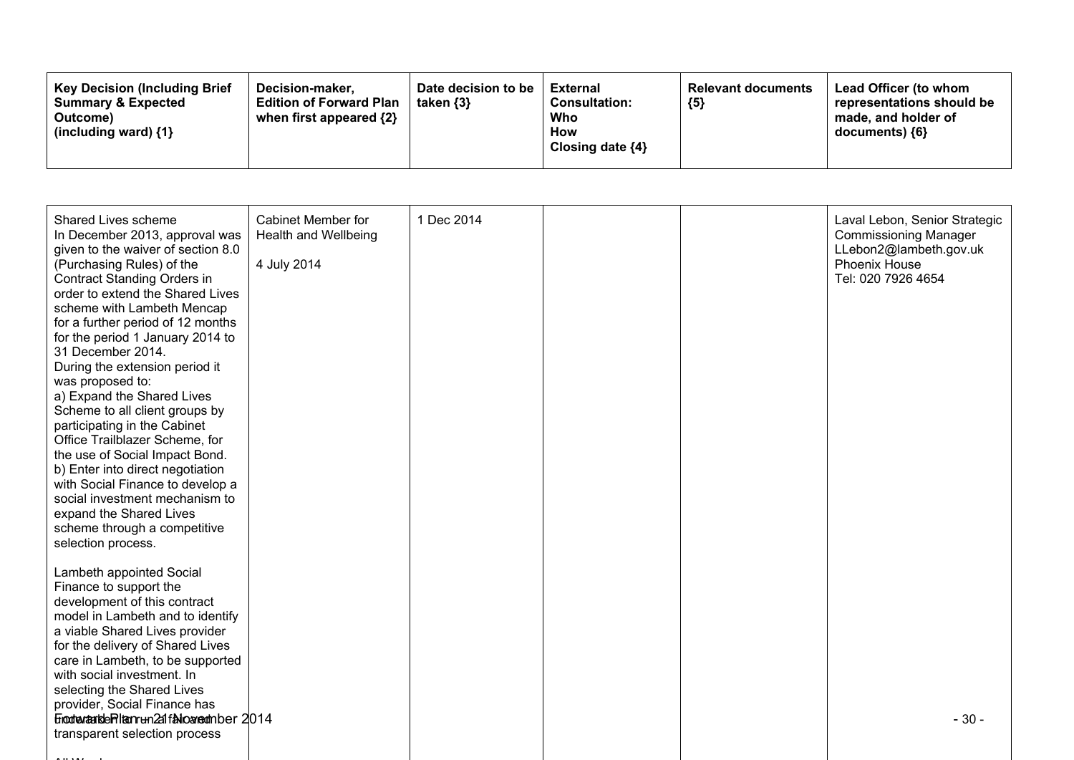| <b>Key Decision (Including Brief</b><br>Decision-maker.<br><b>Summary &amp; Expected</b><br><b>Edition of Forward Plan</b><br>when first appeared $\{2\}$<br>Outcome)<br>(including ward) $\{1\}$ | Date decision to be<br>taken {3} | <b>External</b><br><b>Consultation:</b><br>Who<br>How<br>Closing date $\{4\}$ | <b>Relevant documents</b><br>${5}$ | <b>Lead Officer (to whom</b><br>representations should be<br>made, and holder of<br>documents) ${6}$ |
|---------------------------------------------------------------------------------------------------------------------------------------------------------------------------------------------------|----------------------------------|-------------------------------------------------------------------------------|------------------------------------|------------------------------------------------------------------------------------------------------|
|---------------------------------------------------------------------------------------------------------------------------------------------------------------------------------------------------|----------------------------------|-------------------------------------------------------------------------------|------------------------------------|------------------------------------------------------------------------------------------------------|

| Shared Lives scheme<br>In December 2013, approval was<br>given to the waiver of section 8.0<br>(Purchasing Rules) of the<br><b>Contract Standing Orders in</b><br>order to extend the Shared Lives<br>scheme with Lambeth Mencap<br>for a further period of 12 months<br>for the period 1 January 2014 to<br>31 December 2014.<br>During the extension period it<br>was proposed to:<br>a) Expand the Shared Lives<br>Scheme to all client groups by<br>participating in the Cabinet<br>Office Trailblazer Scheme, for<br>the use of Social Impact Bond.<br>b) Enter into direct negotiation<br>with Social Finance to develop a<br>social investment mechanism to<br>expand the Shared Lives<br>scheme through a competitive<br>selection process.<br>Lambeth appointed Social<br>Finance to support the | <b>Cabinet Member for</b><br>Health and Wellbeing<br>4 July 2014 | 1 Dec 2014 |  | Laval Lebon, Senior Strategic<br><b>Commissioning Manager</b><br>LLebon2@lambeth.gov.uk<br>Phoenix House<br>Tel: 020 7926 4654 |
|-----------------------------------------------------------------------------------------------------------------------------------------------------------------------------------------------------------------------------------------------------------------------------------------------------------------------------------------------------------------------------------------------------------------------------------------------------------------------------------------------------------------------------------------------------------------------------------------------------------------------------------------------------------------------------------------------------------------------------------------------------------------------------------------------------------|------------------------------------------------------------------|------------|--|--------------------------------------------------------------------------------------------------------------------------------|
| development of this contract<br>model in Lambeth and to identify<br>a viable Shared Lives provider<br>for the delivery of Shared Lives<br>care in Lambeth, to be supported<br>with social investment. In<br>selecting the Shared Lives<br>provider, Social Finance has                                                                                                                                                                                                                                                                                                                                                                                                                                                                                                                                    |                                                                  |            |  |                                                                                                                                |
| Einodrantsde Pilten run 2af falloareamber 2014<br>transparent selection process                                                                                                                                                                                                                                                                                                                                                                                                                                                                                                                                                                                                                                                                                                                           |                                                                  |            |  | $-30-$                                                                                                                         |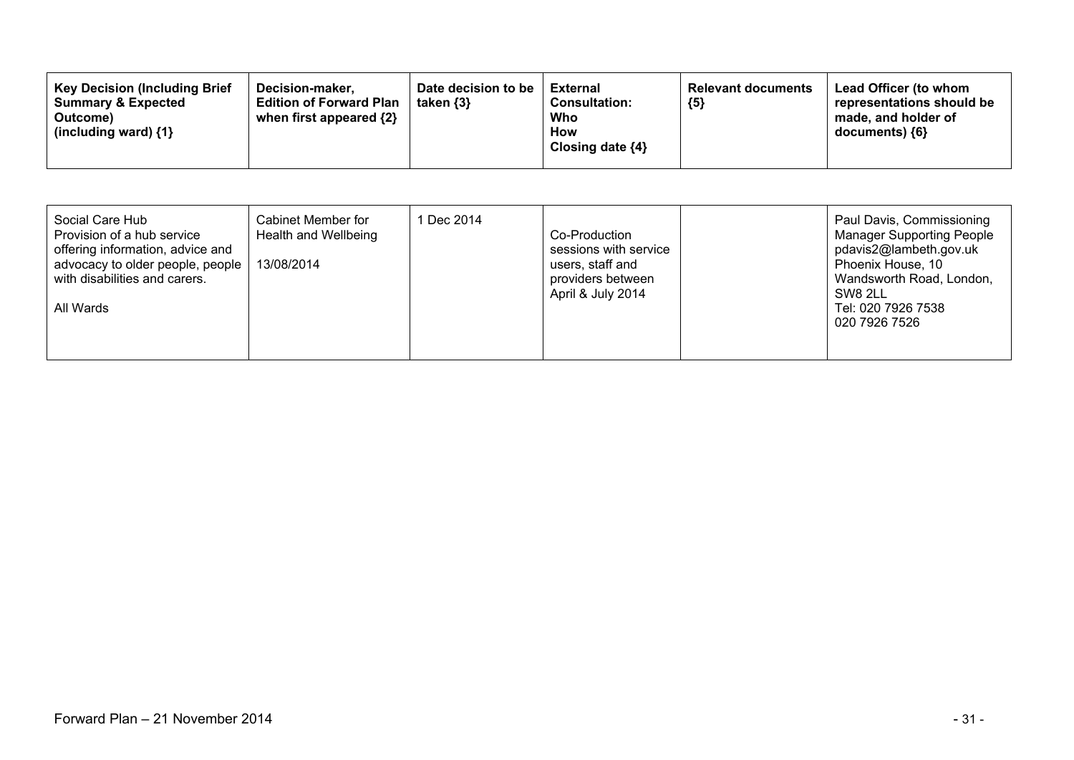| <b>Key Decision (Including Brief</b><br>Decision-maker.<br><b>Edition of Forward Plan</b><br><b>Summary &amp; Expected</b><br>when first appeared {2}<br>Outcome)<br>(including ward) $\{1\}$ | Date decision to be<br>taken $\{3\}$ | <b>External</b><br><b>Consultation:</b><br>Who<br>How<br>Closing date $\{4\}$ | <b>Relevant documents</b><br>${5}$ | Lead Officer (to whom<br>representations should be<br>made, and holder of<br>$documents)$ {6} |
|-----------------------------------------------------------------------------------------------------------------------------------------------------------------------------------------------|--------------------------------------|-------------------------------------------------------------------------------|------------------------------------|-----------------------------------------------------------------------------------------------|
|-----------------------------------------------------------------------------------------------------------------------------------------------------------------------------------------------|--------------------------------------|-------------------------------------------------------------------------------|------------------------------------|-----------------------------------------------------------------------------------------------|

| Social Care Hub<br>Cabinet Member for<br>Provision of a hub service<br>Health and Wellbeing<br>offering information, advice and<br>advocacy to older people, people<br>13/08/2014<br>with disabilities and carers.<br>All Wards | 1 Dec 2014 | Co-Production<br>sessions with service<br>users, staff and<br>providers between<br>April & July 2014 |  | Paul Davis, Commissioning<br><b>Manager Supporting People</b><br>pdavis2@lambeth.gov.uk<br>Phoenix House, 10<br>Wandsworth Road, London,<br>SW8 2LL<br>Tel: 020 7926 7538<br>020 7926 7526 |
|---------------------------------------------------------------------------------------------------------------------------------------------------------------------------------------------------------------------------------|------------|------------------------------------------------------------------------------------------------------|--|--------------------------------------------------------------------------------------------------------------------------------------------------------------------------------------------|
|---------------------------------------------------------------------------------------------------------------------------------------------------------------------------------------------------------------------------------|------------|------------------------------------------------------------------------------------------------------|--|--------------------------------------------------------------------------------------------------------------------------------------------------------------------------------------------|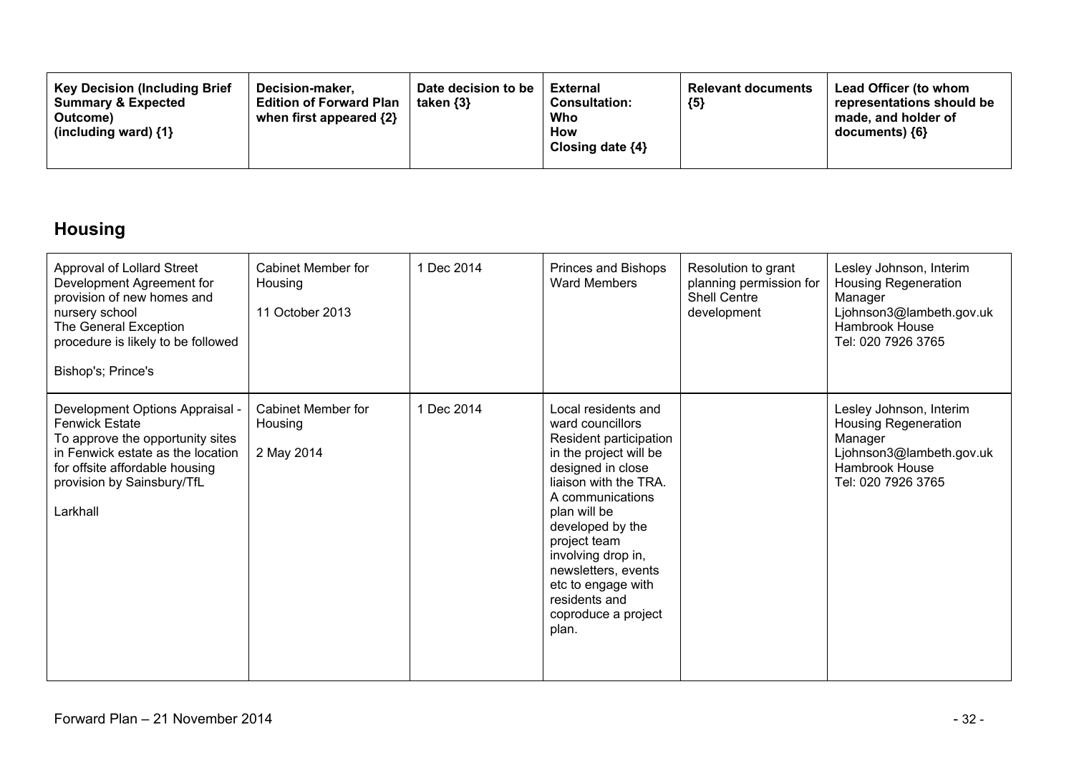| <b>Key Decision (Including Brief)</b><br><b>Summary &amp; Expected</b><br>Outcome)<br>(including ward) $\{1\}$ | Decision-maker.<br><b>Edition of Forward Plan</b><br>when first appeared {2} | Date decision to be<br>taken $\{3\}$ | <b>External</b><br><b>Consultation:</b><br>Who<br><b>How</b><br>Closing date $\{4\}$ | <b>Relevant documents</b><br>${5}$ | Lead Officer (to whom<br>representations should be<br>made, and holder of<br>$documents)$ {6} |
|----------------------------------------------------------------------------------------------------------------|------------------------------------------------------------------------------|--------------------------------------|--------------------------------------------------------------------------------------|------------------------------------|-----------------------------------------------------------------------------------------------|
|----------------------------------------------------------------------------------------------------------------|------------------------------------------------------------------------------|--------------------------------------|--------------------------------------------------------------------------------------|------------------------------------|-----------------------------------------------------------------------------------------------|

## **Housing**

| Approval of Lollard Street<br>Development Agreement for<br>provision of new homes and<br>nursery school<br>The General Exception<br>procedure is likely to be followed<br>Bishop's; Prince's                  | Cabinet Member for<br>Housing<br>11 October 2013 | 1 Dec 2014 | Princes and Bishops<br><b>Ward Members</b>                                                                                                                                                                                                                                                                                            | Resolution to grant<br>planning permission for<br><b>Shell Centre</b><br>development | Lesley Johnson, Interim<br><b>Housing Regeneration</b><br>Manager<br>Ljohnson3@lambeth.gov.uk<br>Hambrook House<br>Tel: 020 7926 3765        |
|---------------------------------------------------------------------------------------------------------------------------------------------------------------------------------------------------------------|--------------------------------------------------|------------|---------------------------------------------------------------------------------------------------------------------------------------------------------------------------------------------------------------------------------------------------------------------------------------------------------------------------------------|--------------------------------------------------------------------------------------|----------------------------------------------------------------------------------------------------------------------------------------------|
| Development Options Appraisal -<br><b>Fenwick Estate</b><br>To approve the opportunity sites<br>in Fenwick estate as the location<br>for offsite affordable housing<br>provision by Sainsbury/TfL<br>Larkhall | Cabinet Member for<br>Housing<br>2 May 2014      | 1 Dec 2014 | Local residents and<br>ward councillors<br>Resident participation<br>in the project will be<br>designed in close<br>liaison with the TRA.<br>A communications<br>plan will be<br>developed by the<br>project team<br>involving drop in,<br>newsletters, events<br>etc to engage with<br>residents and<br>coproduce a project<br>plan. |                                                                                      | Lesley Johnson, Interim<br><b>Housing Regeneration</b><br>Manager<br>Ljohnson3@lambeth.gov.uk<br><b>Hambrook House</b><br>Tel: 020 7926 3765 |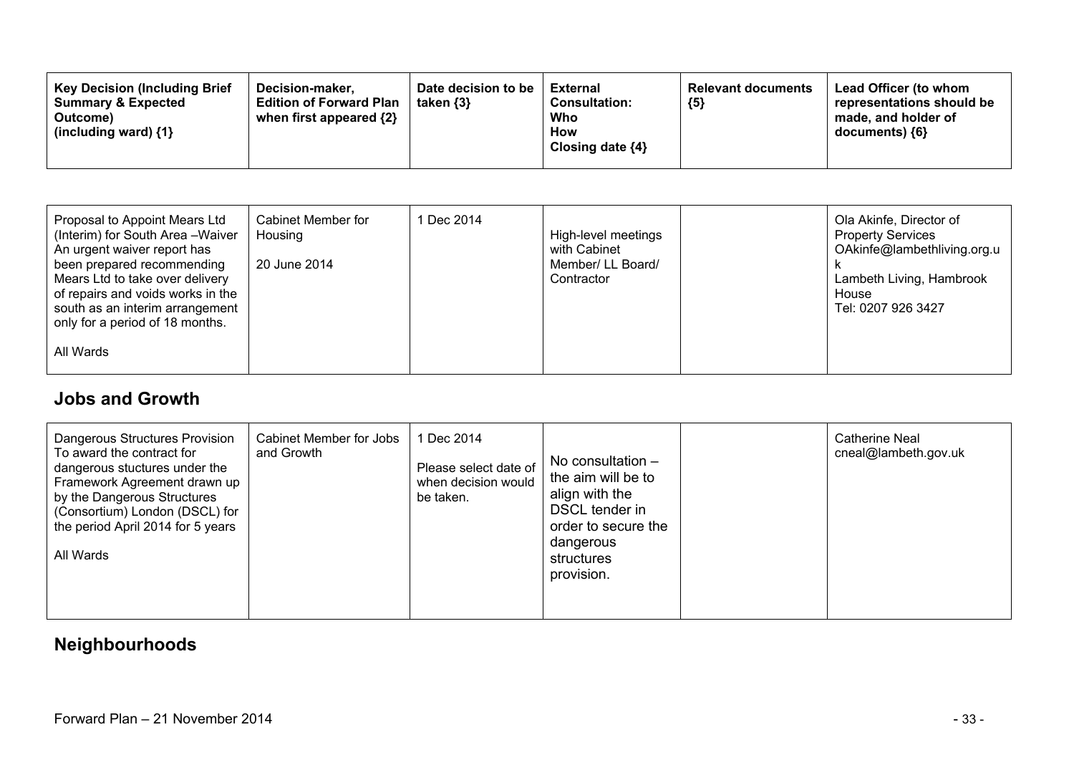| <b>Key Decision (Including Brief</b><br>Decision-maker.<br><b>Summary &amp; Expected</b><br><b>Edition of Forward Plan</b><br>when first appeared $\{2\}$<br>Outcome)<br>(including ward) $\{1\}$ | Date decision to be<br>taken $\{3\}$ | <b>External</b><br><b>Consultation:</b><br>Who<br>How<br>Closing date $\{4\}$ | <b>Relevant documents</b><br>${5}$ | Lead Officer (to whom<br>representations should be<br>made, and holder of<br>documents) {6} |
|---------------------------------------------------------------------------------------------------------------------------------------------------------------------------------------------------|--------------------------------------|-------------------------------------------------------------------------------|------------------------------------|---------------------------------------------------------------------------------------------|
|---------------------------------------------------------------------------------------------------------------------------------------------------------------------------------------------------|--------------------------------------|-------------------------------------------------------------------------------|------------------------------------|---------------------------------------------------------------------------------------------|

### **Jobs and Growth**

| Dangerous Structures Provision<br>Cabinet Member for Jobs<br>To award the contract for<br>and Growth<br>dangerous stuctures under the<br>Framework Agreement drawn up<br>by the Dangerous Structures<br>(Consortium) London (DSCL) for<br>the period April 2014 for 5 years<br>All Wards | 1 Dec 2014<br>Please select date of<br>when decision would<br>be taken. | No consultation $-$<br>the aim will be to<br>align with the<br>DSCL tender in<br>order to secure the<br>dangerous<br>structures<br>provision. |  | Catherine Neal<br>cneal@lambeth.gov.uk |
|------------------------------------------------------------------------------------------------------------------------------------------------------------------------------------------------------------------------------------------------------------------------------------------|-------------------------------------------------------------------------|-----------------------------------------------------------------------------------------------------------------------------------------------|--|----------------------------------------|
|------------------------------------------------------------------------------------------------------------------------------------------------------------------------------------------------------------------------------------------------------------------------------------------|-------------------------------------------------------------------------|-----------------------------------------------------------------------------------------------------------------------------------------------|--|----------------------------------------|

### **Neighbourhoods**